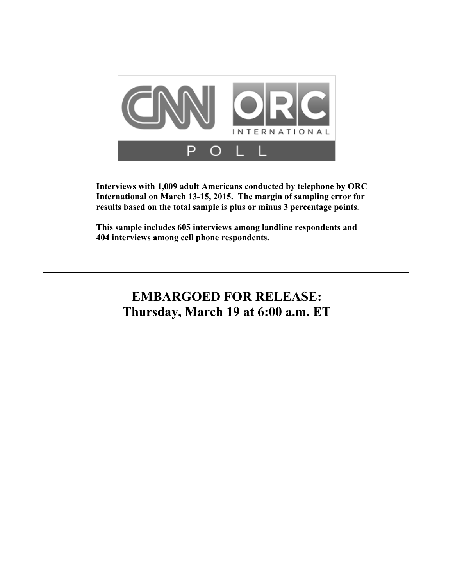

**Interviews with 1,009 adult Americans conducted by telephone by ORC International on March 13-15, 2015. The margin of sampling error for results based on the total sample is plus or minus 3 percentage points.** 

**This sample includes 605 interviews among landline respondents and 404 interviews among cell phone respondents.** 

# **EMBARGOED FOR RELEASE: Thursday, March 19 at 6:00 a.m. ET**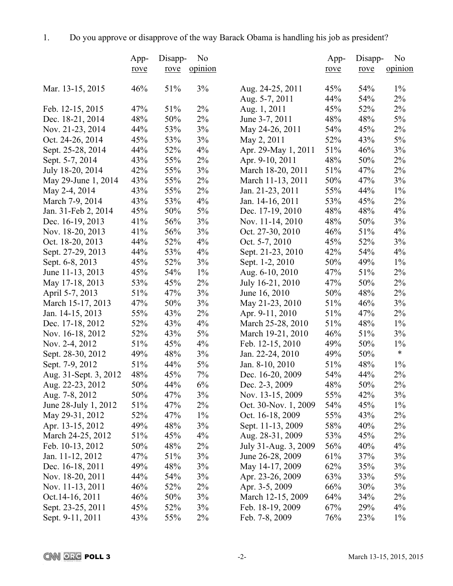|                       | App- | Disapp- | N <sub>0</sub> |                      | App- | Disapp- | N <sub>0</sub> |
|-----------------------|------|---------|----------------|----------------------|------|---------|----------------|
|                       | rove | rove    | opinion        |                      | rove | rove    | opinion        |
|                       |      |         |                |                      |      |         |                |
| Mar. 13-15, 2015      | 46%  | 51%     | 3%             | Aug. 24-25, 2011     | 45%  | 54%     | $1\%$          |
|                       |      |         |                | Aug. 5-7, 2011       | 44%  | 54%     | 2%             |
| Feb. 12-15, 2015      | 47%  | 51%     | $2\%$          | Aug. 1, 2011         | 45%  | 52%     | $2\%$          |
| Dec. 18-21, 2014      | 48%  | 50%     | 2%             | June 3-7, 2011       | 48%  | 48%     | 5%             |
| Nov. 21-23, 2014      | 44%  | 53%     | 3%             | May 24-26, 2011      | 54%  | 45%     | 2%             |
| Oct. 24-26, 2014      | 45%  | 53%     | 3%             | May 2, 2011          | 52%  | 43%     | $5\%$          |
| Sept. 25-28, 2014     | 44%  | 52%     | 4%             | Apr. 29-May 1, 2011  | 51%  | 46%     | $3\%$          |
| Sept. 5-7, 2014       | 43%  | 55%     | 2%             | Apr. 9-10, 2011      | 48%  | 50%     | $2\%$          |
| July 18-20, 2014      | 42%  | 55%     | 3%             | March 18-20, 2011    | 51%  | 47%     | $2\%$          |
| May 29-June 1, 2014   | 43%  | 55%     | 2%             | March 11-13, 2011    | 50%  | 47%     | 3%             |
| May 2-4, 2014         | 43%  | 55%     | $2\%$          | Jan. 21-23, 2011     | 55%  | 44%     | $1\%$          |
| March 7-9, 2014       | 43%  | 53%     | $4\%$          | Jan. 14-16, 2011     | 53%  | 45%     | 2%             |
| Jan. 31-Feb 2, 2014   | 45%  | 50%     | 5%             | Dec. 17-19, 2010     | 48%  | 48%     | 4%             |
| Dec. 16-19, 2013      | 41%  | 56%     | 3%             | Nov. 11-14, 2010     | 48%  | 50%     | 3%             |
| Nov. 18-20, 2013      | 41%  | 56%     | 3%             | Oct. 27-30, 2010     | 46%  | 51%     | 4%             |
| Oct. 18-20, 2013      | 44%  | 52%     | 4%             | Oct. 5-7, 2010       | 45%  | 52%     | 3%             |
| Sept. 27-29, 2013     | 44%  | 53%     | 4%             | Sept. 21-23, 2010    | 42%  | 54%     | 4%             |
| Sept. 6-8, 2013       | 45%  | 52%     | 3%             | Sept. 1-2, 2010      | 50%  | 49%     | $1\%$          |
| June 11-13, 2013      | 45%  | 54%     | $1\%$          | Aug. 6-10, 2010      | 47%  | 51%     | 2%             |
| May 17-18, 2013       | 53%  | 45%     | $2\%$          | July 16-21, 2010     | 47%  | 50%     | 2%             |
| April 5-7, 2013       | 51%  | 47%     | 3%             | June 16, 2010        | 50%  | 48%     | 2%             |
| March 15-17, 2013     | 47%  | 50%     | 3%             | May 21-23, 2010      | 51%  | 46%     | 3%             |
| Jan. 14-15, 2013      | 55%  | 43%     | $2\%$          | Apr. 9-11, 2010      | 51%  | 47%     | $2\%$          |
| Dec. 17-18, 2012      | 52%  | 43%     | 4%             | March 25-28, 2010    | 51%  | 48%     | $1\%$          |
| Nov. 16-18, 2012      | 52%  | 43%     | 5%             | March 19-21, 2010    | 46%  | 51%     | 3%             |
| Nov. 2-4, 2012        | 51%  | 45%     | 4%             | Feb. 12-15, 2010     | 49%  | 50%     | $1\%$          |
| Sept. 28-30, 2012     | 49%  | 48%     | 3%             | Jan. 22-24, 2010     | 49%  | 50%     | $\ast$         |
| Sept. 7-9, 2012       | 51%  | 44%     | 5%             | Jan. 8-10, 2010      | 51%  | 48%     | $1\%$          |
| Aug. 31-Sept. 3, 2012 | 48%  | 45%     | 7%             | Dec. 16-20, 2009     | 54%  | 44%     | $2\%$          |
| Aug. 22-23, 2012      | 50%  | 44%     | 6%             | Dec. 2-3, 2009       | 48%  | 50%     | 2%             |
| Aug. 7-8, 2012        | 50%  | 47%     | 3%             | Nov. 13-15, 2009     | 55%  | 42%     | 3%             |
| June 28-July 1, 2012  | 51%  | 47%     | 2%             | Oct. 30-Nov. 1, 2009 | 54%  | 45%     | $1\%$          |
| May 29-31, 2012       | 52%  | 47%     | $1\%$          | Oct. 16-18, 2009     | 55%  | 43%     | $2\%$          |
| Apr. 13-15, 2012      | 49%  | 48%     | 3%             | Sept. 11-13, 2009    | 58%  | 40%     | 2%             |
| March 24-25, 2012     | 51%  | 45%     | $4\%$          | Aug. 28-31, 2009     | 53%  | 45%     | 2%             |
|                       |      |         |                | July 31-Aug. 3, 2009 |      |         | 4%             |
| Feb. 10-13, 2012      | 50%  | 48%     | 2%             |                      | 56%  | 40%     |                |
| Jan. 11-12, 2012      | 47%  | 51%     | 3%             | June 26-28, 2009     | 61%  | 37%     | 3%             |
| Dec. 16-18, 2011      | 49%  | 48%     | 3%             | May 14-17, 2009      | 62%  | 35%     | 3%             |
| Nov. 18-20, 2011      | 44%  | 54%     | 3%             | Apr. 23-26, 2009     | 63%  | 33%     | 5%             |
| Nov. 11-13, 2011      | 46%  | 52%     | 2%             | Apr. 3-5, 2009       | 66%  | 30%     | 3%             |
| Oct. 14-16, 2011      | 46%  | 50%     | 3%             | March 12-15, 2009    | 64%  | 34%     | 2%             |
| Sept. 23-25, 2011     | 45%  | 52%     | 3%             | Feb. 18-19, 2009     | 67%  | 29%     | 4%             |
| Sept. 9-11, 2011      | 43%  | 55%     | 2%             | Feb. 7-8, 2009       | 76%  | 23%     | $1\%$          |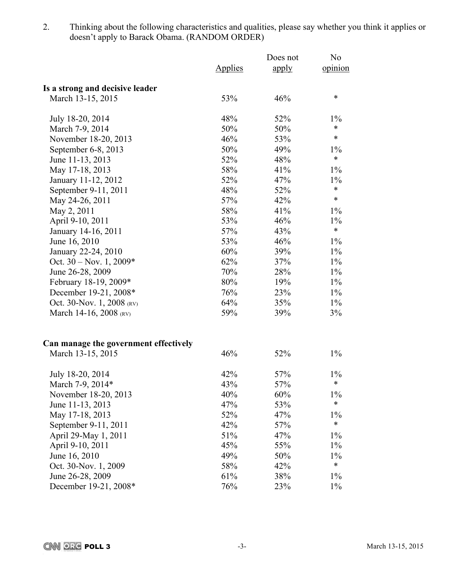2. Thinking about the following characteristics and qualities, please say whether you think it applies or doesn't apply to Barack Obama. (RANDOM ORDER)

|                                       |                | Does not | N <sub>0</sub> |
|---------------------------------------|----------------|----------|----------------|
|                                       | <b>Applies</b> | apply    | opinion        |
| Is a strong and decisive leader       |                |          |                |
| March 13-15, 2015                     | 53%            | 46%      | $\ast$         |
| July 18-20, 2014                      | 48%            | 52%      | $1\%$          |
| March 7-9, 2014                       | 50%            | 50%      | $\ast$         |
| November 18-20, 2013                  | 46%            | 53%      | $\ast$         |
| September 6-8, 2013                   | 50%            | 49%      | $1\%$          |
| June 11-13, 2013                      | 52%            | 48%      | $\ast$         |
| May 17-18, 2013                       | 58%            | 41%      | $1\%$          |
| January 11-12, 2012                   | 52%            | 47%      | $1\%$          |
| September 9-11, 2011                  | 48%            | 52%      | $\ast$         |
| May 24-26, 2011                       | 57%            | 42%      | $\ast$         |
| May 2, 2011                           | 58%            | 41%      | $1\%$          |
| April 9-10, 2011                      | 53%            | 46%      | $1\%$          |
| January 14-16, 2011                   | 57%            | 43%      | $\ast$         |
| June 16, 2010                         | 53%            | 46%      | $1\%$          |
| January 22-24, 2010                   | 60%            | 39%      | $1\%$          |
| Oct. $30 - Nov. 1, 2009*$             | 62%            | 37%      | $1\%$          |
| June 26-28, 2009                      | 70%            | 28%      | $1\%$          |
| February 18-19, 2009*                 | 80%            | 19%      | $1\%$          |
| December 19-21, 2008*                 | 76%            | 23%      | $1\%$          |
| Oct. 30-Nov. 1, 2008 (RV)             | 64%            | 35%      | $1\%$          |
| March 14-16, 2008 (RV)                | 59%            | 39%      | 3%             |
| Can manage the government effectively |                |          |                |
| March 13-15, 2015                     | 46%            | 52%      | $1\%$          |
| July 18-20, 2014                      | 42%            | 57%      | $1\%$          |
| March 7-9, 2014*                      | 43%            | 57%      | $\ast$         |
| November 18-20, 2013                  | 40%            | 60%      | $1\%$          |
| June 11-13, 2013                      | 47%            | 53%      | $\ast$         |
| May 17-18, 2013                       | 52%            | 47%      | $1\%$          |
| September 9-11, 2011                  | 42%            | 57%      | $\ast$         |
| April 29-May 1, 2011                  | 51%            | 47%      | $1\%$          |
| April 9-10, 2011                      | 45%            | 55%      | $1\%$          |
| June 16, 2010                         | 49%            | 50%      | $1\%$          |
| Oct. 30-Nov. 1, 2009                  | 58%            | 42%      | $\ast$         |
| June 26-28, 2009                      | 61%            | 38%      | $1\%$          |
| December 19-21, 2008*                 | 76%            | 23%      | $1\%$          |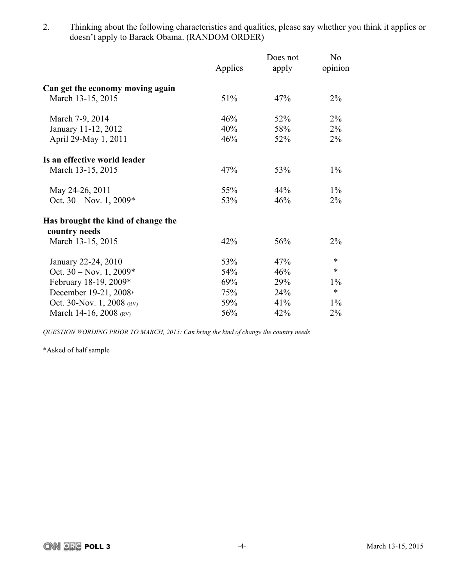2. Thinking about the following characteristics and qualities, please say whether you think it applies or doesn't apply to Barack Obama. (RANDOM ORDER)

|                                    |         | Does not | N <sub>o</sub> |
|------------------------------------|---------|----------|----------------|
|                                    | Applies | apply    | opinion        |
| Can get the economy moving again   |         |          |                |
| March 13-15, 2015                  | 51%     | 47%      | $2\%$          |
| March 7-9, 2014                    | 46%     | 52%      | $2\%$          |
| January 11-12, 2012                | 40%     | 58%      | $2\%$          |
| April 29-May 1, 2011               | 46%     | 52%      | $2\%$          |
| Is an effective world leader       |         |          |                |
| March 13-15, 2015                  | 47%     | 53%      | $1\%$          |
| May 24-26, 2011                    | 55%     | 44%      | $1\%$          |
| Oct. $30 - Nov. 1, 2009*$          | 53%     | 46%      | $2\%$          |
| Has brought the kind of change the |         |          |                |
| country needs                      |         |          |                |
| March 13-15, 2015                  | 42%     | 56%      | 2%             |
| January 22-24, 2010                | 53%     | 47%      | $\ast$         |
| Oct. $30 - Nov. 1, 2009*$          | 54%     | 46%      | $\ast$         |
| February 18-19, 2009*              | 69%     | 29%      | $1\%$          |
| December 19-21, 2008*              | 75%     | 24%      | $\ast$         |
| Oct. 30-Nov. 1, 2008 (RV)          | 59%     | 41%      | $1\%$          |
| March 14-16, 2008 (RV)             | 56%     | 42%      | $2\%$          |

*QUESTION WORDING PRIOR TO MARCH, 2015: Can bring the kind of change the country needs*

\*Asked of half sample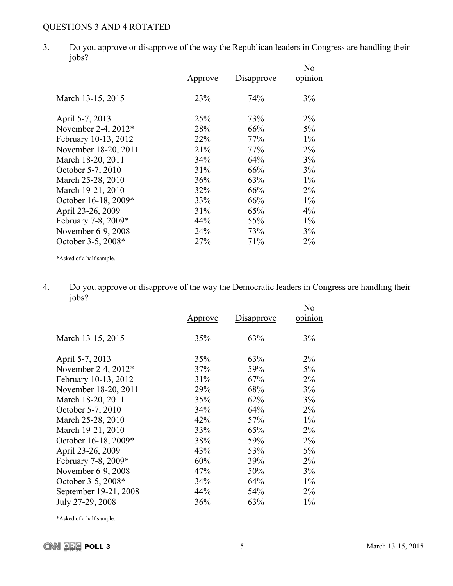# QUESTIONS 3 AND 4 ROTATED

3. Do you approve or disapprove of the way the Republican leaders in Congress are handling their jobs?

|                      | Approve | Disapprove | No<br>opinion |
|----------------------|---------|------------|---------------|
| March 13-15, 2015    | 23%     | 74%        | 3%            |
| April 5-7, 2013      | 25%     | 73%        | $2\%$         |
| November 2-4, 2012*  | 28%     | 66%        | 5%            |
| February 10-13, 2012 | 22%     | 77%        | $1\%$         |
| November 18-20, 2011 | 21%     | 77%        | $2\%$         |
| March 18-20, 2011    | 34%     | 64%        | 3%            |
| October 5-7, 2010    | 31%     | 66%        | 3%            |
| March 25-28, 2010    | 36%     | 63%        | $1\%$         |
| March 19-21, 2010    | 32%     | 66%        | $2\%$         |
| October 16-18, 2009* | 33%     | 66%        | $1\%$         |
| April 23-26, 2009    | 31%     | 65%        | $4\%$         |
| February 7-8, 2009*  | 44%     | 55%        | $1\%$         |
| November 6-9, 2008   | 24%     | 73%        | 3%            |
| October 3-5, 2008*   | 27%     | 71%        | 2%            |

\*Asked of a half sample.

4. Do you approve or disapprove of the way the Democratic leaders in Congress are handling their jobs?  $\mathbf{v}$ 

| Approve | Disapprove | No<br>opinion |
|---------|------------|---------------|
| 35%     | 63%        | 3%            |
| 35%     | 63%        | $2\%$         |
| 37%     | 59%        | 5%            |
| 31%     | 67%        | $2\%$         |
| 29%     | 68%        | 3%            |
| 35%     | 62%        | 3%            |
| 34%     | 64%        | $2\%$         |
| 42%     | 57%        | $1\%$         |
| 33%     | 65%        | $2\%$         |
| 38%     | 59%        | $2\%$         |
| 43%     | 53%        | 5%            |
| 60%     | 39%        | $2\%$         |
| 47%     | 50%        | 3%            |
| 34%     | 64%        | $1\%$         |
| 44%     | 54%        | $2\%$         |
| 36%     | 63%        | $1\%$         |
|         |            |               |

\*Asked of a half sample.

**CNN ORG POLL 3** -5- March 13-15, 2015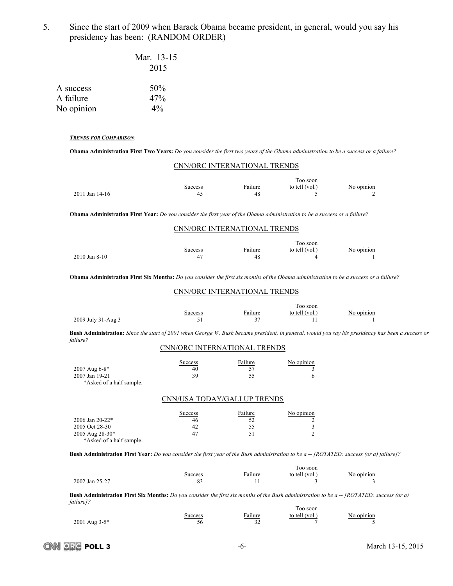5. Since the start of 2009 when Barack Obama became president, in general, would you say his presidency has been: (RANDOM ORDER)

|                        | Mar. 13-15<br>2015 |
|------------------------|--------------------|
| A success<br>A failure | 50%<br>47%         |
| No opinion             | $4\%$              |

### *TRENDS FOR COMPARISON*:

**Obama Administration First Two Years:** *Do you consider the first two years of the Obama administration to be a success or a failure?*

| CNN/ORC INTERNATIONAL TRENDS                                                                                                     |                              |               |                                 |                 |  |
|----------------------------------------------------------------------------------------------------------------------------------|------------------------------|---------------|---------------------------------|-----------------|--|
| 2011 Jan 14-16                                                                                                                   | <b>Success</b><br>45         | Failure<br>48 | Too soon<br>to tell (vol.)      | No opinion<br>∍ |  |
| <b>Obama Administration First Year:</b> Do you consider the first year of the Obama administration to be a success or a failure? |                              |               |                                 |                 |  |
|                                                                                                                                  | CNN/ORC INTERNATIONAL TRENDS |               |                                 |                 |  |
| $2010$ Jan 8-10                                                                                                                  | <b>Success</b><br>47         | Failure<br>48 | Too soon<br>to tell (vol.)<br>4 | No opinion      |  |

**Obama Administration First Six Months:** *Do you consider the first six months of the Obama administration to be a success or a failure?*

#### CNN/ORC INTERNATIONAL TRENDS

|                    |         |                                        | l'oo soon      |            |  |
|--------------------|---------|----------------------------------------|----------------|------------|--|
|                    | success | ailure                                 | to tell (vol.) | No opinion |  |
| 2009 July 31-Aug 3 | ◡       | $\sim$ $\sim$<br>$\tilde{\phantom{a}}$ |                |            |  |

**Bush Administration:** *Since the start of 2001 when George W. Bush became president, in general, would you say his presidency has been a success or failure?* 

### CNN/ORC INTERNATIONAL TRENDS

|                                            | Success | Failure | No opinion |
|--------------------------------------------|---------|---------|------------|
| $2007$ Aug 6-8*                            | 40      |         |            |
| 2007 Jan 19-21<br>*Asked of a half sample. | 39      | 55      |            |

### CNN/USA TODAY/GALLUP TRENDS

|                          | Success | Failure | No opinion |
|--------------------------|---------|---------|------------|
| $2006$ Jan $20-22$ *     | 46      | .52     |            |
| 2005 Oct 28-30           |         | 55      |            |
| $2005$ Aug $28-30*$      | 47      | 51      |            |
| *Asked of a half sample. |         |         |            |

Bush Administration First Year: Do you consider the first year of the Bush administration to be a -- [ROTATED: success (or a) failure]?

|                |         |         | l oo soon      |            |
|----------------|---------|---------|----------------|------------|
|                | success | Failure | to tell (vol., | No opinion |
| 2002 Jan 25-27 |         |         |                |            |

Bush Administration First Six Months: Do you consider the first six months of the Bush administration to be a -- [ROTATED: success (or a) *failure]?*

Too soon

|                 | success | ailure | to tell (vol.) | No opinion |
|-----------------|---------|--------|----------------|------------|
| $2001$ Aug 3-5* | ١r      |        |                |            |

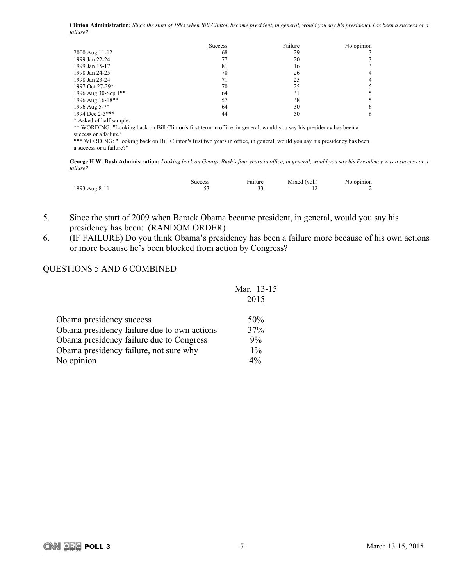Clinton Administration: Since the start of 1993 when Bill Clinton became president, in general, would you say his presidency has been a success or a *failure?*

|                                                                                                                                                                                                                                                                                                                                    | <b>Success</b> | Failure | No opinion |
|------------------------------------------------------------------------------------------------------------------------------------------------------------------------------------------------------------------------------------------------------------------------------------------------------------------------------------|----------------|---------|------------|
| 2000 Aug 11-12                                                                                                                                                                                                                                                                                                                     | 68             | 29      |            |
| 1999 Jan 22-24                                                                                                                                                                                                                                                                                                                     | 77             | 20      |            |
| 1999 Jan 15-17                                                                                                                                                                                                                                                                                                                     | 81             | 16      |            |
| 1998 Jan 24-25                                                                                                                                                                                                                                                                                                                     | 70             | 26      |            |
| 1998 Jan 23-24                                                                                                                                                                                                                                                                                                                     | 71             | 25      | 4          |
| 1997 Oct 27-29*                                                                                                                                                                                                                                                                                                                    | 70             | 25      |            |
| 1996 Aug 30-Sep 1**                                                                                                                                                                                                                                                                                                                | 64             | 31      |            |
| 1996 Aug 16-18**                                                                                                                                                                                                                                                                                                                   | 57             | 38      |            |
| 1996 Aug 5-7*                                                                                                                                                                                                                                                                                                                      | 64             | 30      | h          |
| 1994 Dec 2-5***                                                                                                                                                                                                                                                                                                                    | 44             | 50      | 6          |
| * Asked of half sample.<br>** WORDING: "Looking back on Bill Clinton's first term in office, in general, would you say his presidency has been a<br>success or a failure?<br>*** WORDING: "Looking back on Bill Clinton's first two years in office, in general, would you say his presidency has been<br>a success or a failure?" |                |         |            |

George H.W. Bush Administration: Looking back on George Bush's four years in office, in general, would you say his Presidency was a success or a *failure?*

|               | Success | Failure   | Mixed (vol.) | No opinion |
|---------------|---------|-----------|--------------|------------|
| 1993 Aug 8-11 |         | n 1<br>-- |              |            |

- 5. Since the start of 2009 when Barack Obama became president, in general, would you say his presidency has been: (RANDOM ORDER)
- 6. (IF FAILURE) Do you think Obama's presidency has been a failure more because of his own actions or more because he's been blocked from action by Congress?

### QUESTIONS 5 AND 6 COMBINED

|                                             | Mar. 13-15 |
|---------------------------------------------|------------|
|                                             | 2015       |
| Obama presidency success                    | 50%        |
| Obama presidency failure due to own actions | 37%        |
| Obama presidency failure due to Congress    | 9%         |
| Obama presidency failure, not sure why      | $1\%$      |
| No opinion                                  | $4\%$      |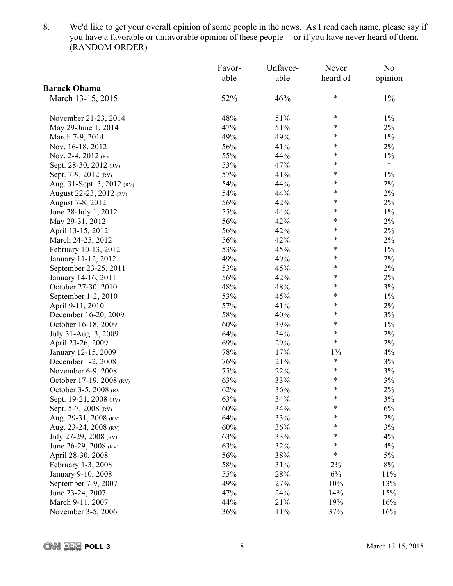8. We'd like to get your overall opinion of some people in the news. As I read each name, please say if you have a favorable or unfavorable opinion of these people -- or if you have never heard of them. (RANDOM ORDER)

|                            | Favor- | Unfavor- | Never    | N <sub>0</sub> |
|----------------------------|--------|----------|----------|----------------|
|                            | able   | able     | heard of | opinion        |
| <b>Barack Obama</b>        |        |          |          |                |
| March 13-15, 2015          | 52%    | 46%      | $\ast$   | $1\%$          |
| November 21-23, 2014       | 48%    | 51%      | ∗        | $1\%$          |
| May 29-June 1, 2014        | 47%    | 51%      | $\ast$   | $2\%$          |
| March 7-9, 2014            | 49%    | 49%      | ∗        | $1\%$          |
| Nov. 16-18, 2012           | 56%    | 41%      | $\ast$   | $2\%$          |
| Nov. 2-4, 2012 (RV)        | 55%    | 44%      | $\ast$   | $1\%$          |
| Sept. 28-30, 2012 (RV)     | 53%    | 47%      | $\ast$   | $\ast$         |
| Sept. 7-9, 2012 (RV)       | 57%    | 41%      | $\ast$   | $1\%$          |
| Aug. 31-Sept. 3, 2012 (RV) | 54%    | 44%      | *        | $2\%$          |
| August 22-23, 2012 (RV)    | 54%    | 44%      | $\ast$   | $2\%$          |
| August 7-8, 2012           | 56%    | 42%      | *        | $2\%$          |
| June 28-July 1, 2012       | 55%    | 44%      | *        | $1\%$          |
| May 29-31, 2012            | 56%    | 42%      | ∗        | $2\%$          |
| April 13-15, 2012          | 56%    | 42%      | *        | $2\%$          |
| March 24-25, 2012          | 56%    | 42%      | $\ast$   | $2\%$          |
| February 10-13, 2012       | 53%    | 45%      | ∗        | $1\%$          |
| January 11-12, 2012        | 49%    | 49%      | $\ast$   | $2\%$          |
| September 23-25, 2011      | 53%    | 45%      | ∗        | $2\%$          |
| January 14-16, 2011        | 56%    | 42%      | $\ast$   | $2\%$          |
| October 27-30, 2010        | 48%    | 48%      | ∗        | 3%             |
| September 1-2, 2010        | 53%    | 45%      | ∗        | $1\%$          |
| April 9-11, 2010           | 57%    | 41%      | ∗        | $2\%$          |
| December 16-20, 2009       | 58%    | 40%      | $\ast$   | 3%             |
| October 16-18, 2009        | 60%    | 39%      | $\ast$   | $1\%$          |
| July 31-Aug. 3, 2009       | 64%    | 34%      | ∗        | $2\%$          |
| April 23-26, 2009          | 69%    | 29%      | $\ast$   | $2\%$          |
| January 12-15, 2009        | 78%    | 17%      | $1\%$    | 4%             |
| December 1-2, 2008         | 76%    | 21%      | $\ast$   | 3%             |
| November 6-9, 2008         | 75%    | 22%      | $\ast$   | 3%             |
| October 17-19, 2008 (RV)   | 63%    | 33%      | $\ast$   | 3%             |
| October 3-5, 2008 (RV)     | 62%    | 36%      | $\ast$   | $2\%$          |
| Sept. 19-21, 2008 (RV)     | 63%    | 34%      | ∗        | 3%             |
| Sept. 5-7, 2008 (RV)       | 60%    | 34%      | $\ast$   | 6%             |
| Aug. 29-31, 2008 (RV)      | 64%    | 33%      | ∗        | $2\%$          |
| Aug. 23-24, 2008 (RV)      | 60%    | 36%      | ∗        | 3%             |
| July 27-29, 2008 (RV)      | 63%    | 33%      | *        | 4%             |
| June 26-29, 2008 (RV)      | 63%    | 32%      | *        | 4%             |
| April 28-30, 2008          | 56%    | 38%      | *        | 5%             |
| February 1-3, 2008         | 58%    | 31%      | 2%       | $8\%$          |
| January 9-10, 2008         | 55%    | 28%      | 6%       | 11%            |
| September 7-9, 2007        | 49%    | 27%      | 10%      | 13%            |
| June 23-24, 2007           | 47%    | 24%      | 14%      | 15%            |
| March 9-11, 2007           | 44%    | 21%      | 19%      | 16%            |
| November 3-5, 2006         | 36%    | 11%      | 37%      | 16%            |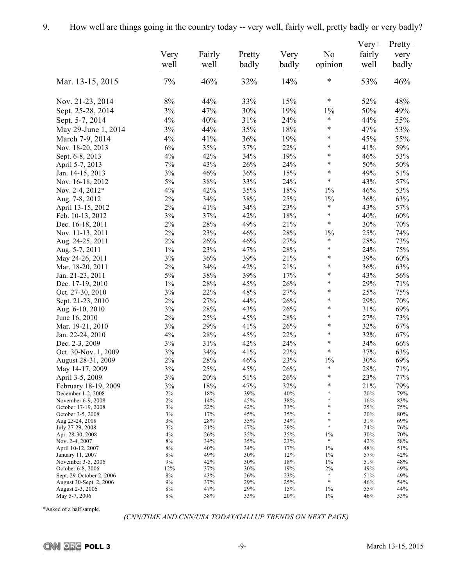|                                          |          |            |            |            |                  | $V$ ery+   | Pretty+      |
|------------------------------------------|----------|------------|------------|------------|------------------|------------|--------------|
|                                          | Very     | Fairly     | Pretty     | Very       | N <sub>0</sub>   | fairly     | very         |
|                                          | well     | well       | badly      | badly      | opinion          | well       | <b>badly</b> |
|                                          |          |            |            |            |                  |            |              |
| Mar. 13-15, 2015                         | 7%       | 46%        | 32%        | 14%        | $\ast$           | 53%        | 46%          |
| Nov. 21-23, 2014                         | $8\%$    | 44%        | 33%        | 15%        | $\ast$           | 52%        | 48%          |
| Sept. 25-28, 2014                        | 3%       | 47%        | 30%        | 19%        | $1\%$            | 50%        | 49%          |
| Sept. 5-7, 2014                          | 4%       | 40%        | 31%        | 24%        | $\ast$           | 44%        | 55%          |
| May 29-June 1, 2014                      | 3%       | 44%        | 35%        | 18%        | $\ast$           | 47%        | 53%          |
| March 7-9, 2014                          | 4%       | 41%        | 36%        | 19%        | $\ast$           | 45%        | 55%          |
| Nov. 18-20, 2013                         | 6%       | 35%        | 37%        | 22%        | $\ast$           | 41%        | 59%          |
| Sept. 6-8, 2013                          | $4\%$    | 42%        | 34%        | 19%        | $\ast$           | 46%        | 53%          |
| April 5-7, 2013                          | 7%       | 43%        | 26%        | 24%        | $\ast$           | 50%        | 50%          |
| Jan. 14-15, 2013                         | 3%       | 46%        | 36%        | 15%        | $\ast$           | 49%        | 51%          |
| Nov. 16-18, 2012                         | 5%       | 38%        | 33%        | 24%        | $\ast$           | 43%        | 57%          |
| Nov. 2-4, 2012*                          | 4%       | 42%        | 35%        | 18%        | $1\%$            | 46%        | 53%          |
| Aug. 7-8, 2012                           | $2\%$    | 34%        | 38%        | 25%        | $1\%$            | 36%        | 63%          |
| April 13-15, 2012                        | $2\%$    | 41%        | 34%        | 23%        | $\ast$           | 43%        | 57%          |
| Feb. 10-13, 2012                         | $3\%$    | 37%        | 42%        | 18%        | $\ast$           | 40%        | 60%          |
| Dec. 16-18, 2011                         | $2\%$    | 28%        | 49%        | 21%        | $\ast$           | 30%        | 70%          |
| Nov. 11-13, 2011                         | $2\%$    | 23%        | 46%        | 28%        | $1\%$            | 25%        | 74%          |
| Aug. 24-25, 2011                         | 2%       | 26%        | 46%        | 27%        | $\ast$           | 28%        | 73%          |
| Aug. 5-7, 2011                           | $1\%$    | 23%        | 47%        | 28%        | $\ast$           | 24%        | 75%          |
| May 24-26, 2011                          | 3%       | 36%        | 39%        | 21%        | $\ast$           | 39%        | 60%          |
| Mar. 18-20, 2011                         | $2\%$    | 34%        | 42%        | 21%        | $\ast$           | 36%        | 63%          |
| Jan. 21-23, 2011                         | $5\%$    | 38%        | 39%        | 17%        | $\ast$           | 43%        | 56%          |
| Dec. 17-19, 2010                         | $1\%$    | 28%        | 45%        | 26%        | $\ast$           | 29%        | 71%          |
| Oct. 27-30, 2010                         | $3\%$    | 22%        | 48%        | 27%        | $\ast$           | 25%        | 75%          |
| Sept. 21-23, 2010                        | $2\%$    | 27%        | 44%        | 26%        | $\ast$           | 29%        | 70%          |
| Aug. 6-10, 2010                          | $3\%$    | 28%        | 43%        | 26%        | $\ast$           | 31%        | 69%          |
| June 16, 2010                            | $2\%$    | 25%        | 45%        | 28%        | $\ast$           | 27%        | 73%          |
| Mar. 19-21, 2010                         | $3\%$    | 29%        | 41%        | 26%        | $\ast$           | 32%        | 67%          |
| Jan. 22-24, 2010                         | $4\%$    | 28%        | 45%        | 22%        | $\ast$           | 32%        | 67%          |
| Dec. 2-3, 2009                           | $3\%$    | 31%        | 42%        | 24%        | $\ast$           | 34%        | 66%          |
| Oct. 30-Nov. 1, 2009                     | 3%       | 34%        | 41%        | 22%        | $\ast$           | 37%        | 63%          |
| August 28-31, 2009                       | $2\%$    | 28%        | 46%        | 23%        | $1\%$            | 30%        | 69%          |
| May 14-17, 2009                          | $3\%$    | 25%        | 45%        | $26\%$     | $\ast$           | $28\%$     | $71\%$       |
| April 3-5, 2009                          | 3%       | 20%        | 51%        | 26%        | $\ast$           | 23%        | 77%          |
| February 18-19, 2009                     | 3%       | 18%        | 47%        | 32%        | $\ast$<br>$\ast$ | 21%        | 79%          |
| December 1-2, 2008<br>November 6-9, 2008 | 2%<br>2% | 18%<br>14% | 39%<br>45% | 40%<br>38% | $\ast$           | 20%<br>16% | 79%<br>83%   |
| October 17-19, 2008                      | 3%       | 22%        | 42%        | 33%        | $\ast$           | 25%        | 75%          |
| October 3-5, 2008                        | 3%       | 17%        | 45%        | 35%        | $\ast$           | 20%        | 80%          |
| Aug 23-24, 2008                          | 3%<br>3% | 28%<br>21% | 35%<br>47% | 34%<br>29% | *<br>$\ast$      | 31%<br>24% | 69%<br>76%   |
| July 27-29, 2008<br>Apr. 28-30, 2008     | 4%       | 26%        | 35%        | 35%        | $1\%$            | 30%        | 70%          |
| Nov. 2-4, 2007                           | 8%       | 34%        | 35%        | 23%        | $\ast$           | 42%        | 58%          |
| April 10-12, 2007                        | 8%       | 40%        | 34%        | 17%        | 1%               | 48%        | 51%          |
| January 11, 2007<br>November 3-5, 2006   | 8%<br>9% | 49%<br>42% | 30%<br>30% | 12%<br>18% | $1\%$<br>$1\%$   | 57%<br>51% | 42%<br>48%   |
| October 6-8, 2006                        | 12%      | 37%        | 30%        | 19%        | $2\%$            | 49%        | 49%          |
| Sept. 29-October 2, 2006                 | $8\%$    | 43%        | 26%        | 23%        | $\ast$           | 51%        | 49%          |
| August 30-Sept. 2, 2006                  | 9%       | 37%        | 29%        | 25%        | $\ast$           | 46%        | 54%          |
| August 2-3, 2006                         | 8%       | 47%        | 29%        | 15%        | $1\%$            | 55%        | 44%          |
| May 5-7, 2006                            | 8%       | 38%        | 33%        | 20%        | 1%               | 46%        | 53%          |

\*Asked of a half sample.

*(CNN/TIME AND CNN/USA TODAY/GALLUP TRENDS ON NEXT PAGE)*

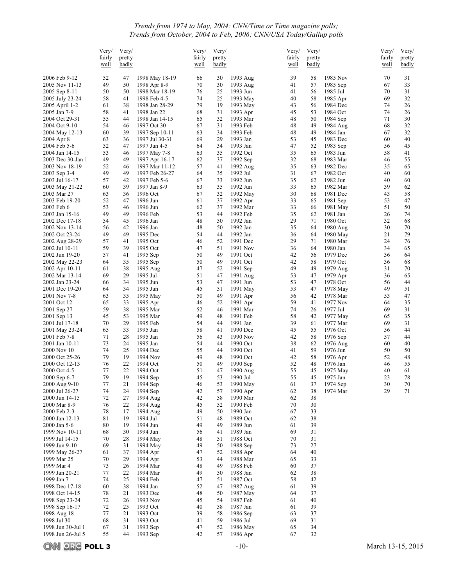### *Trends from 1974 to May, 2004: CNN/Time or Time magazine polls; Trends from October, 2004 to Feb, 2006: CNN/USA Today/Gallup polls*

|                                  | Very/<br>fairly<br>well | Very/<br>pretty<br>badly |                                  | Very/<br>fairly<br>well | Very/<br>pretty<br>badly |                      | Very/<br>fairly<br>well | Very/<br>pretty<br>badly |                      | Very/<br>fairly<br>well | Very/<br>pretty<br>badly |
|----------------------------------|-------------------------|--------------------------|----------------------------------|-------------------------|--------------------------|----------------------|-------------------------|--------------------------|----------------------|-------------------------|--------------------------|
| 2006 Feb 9-12                    | 52                      | 47                       | 1998 May 18-19                   | 66                      | 30                       | 1993 Aug             | 39                      | 58                       | 1985 Nov             | 70                      | 31                       |
| 2005 Nov 11-13                   | 49                      | 50                       | 1998 Apr 8-9                     | 70                      | 30                       | 1993 Aug             | 41                      | 57                       | 1985 Sep             | 67                      | 33                       |
| 2005 Sep 8-11<br>2005 July 23-24 | 50<br>58                | 50<br>41                 | 1998 Mar 18-19<br>1998 Feb 4-5   | 76<br>74                | 25<br>25                 | 1993 Jun<br>1993 May | 41<br>40                | 56<br>58                 | 1985 Jul<br>1985 Apr | 70<br>69                | 31<br>32                 |
| 2005 April 1-2                   | 61                      | 38                       | 1998 Jan 28-29                   | 79                      | 19                       | 1993 May             | 43                      | 56                       | 1984 Dec             | 74                      | 26                       |
| 2005 Jan 7-9                     | 58                      | 41                       | 1998 Jan 22                      | 68                      | 31                       | 1993 Apr             | 45                      | 53                       | 1984 Oct             | 74                      | 26                       |
| 2004 Oct 29-31                   | 55                      | 44                       | 1998 Jan 14-15                   | 65                      | 32                       | 1993 Mar             | 48                      | 50                       | 1984 Sep             | 71                      | 30                       |
| 2004 Oct 9-10                    | 54                      | 46                       | 1997 Oct 30                      | 67                      | 31                       | 1993 Feb             | 48                      | 49                       | 1984 Aug             | 68                      | 32                       |
| 2004 May 12-13<br>2004 Apr 8     | 60<br>63                | 39<br>36                 | 1997 Sep 10-11<br>1997 Jul 30-31 | 63<br>69                | 34<br>29                 | 1993 Feb<br>1993 Jan | 48<br>53                | 49<br>45                 | 1984 Jan<br>1983 Dec | 67<br>60                | 32<br>40                 |
| 2004 Feb 5-6                     | 52                      | 47                       | 1997 Jun 4-5                     | 64                      | 34                       | 1993 Jan             | 47                      | 52                       | 1983 Sep             | 56                      | 45                       |
| 2004 Jan 14-15                   | 53                      | 46                       | 1997 May 7-8                     | 63                      | 35                       | 1992 Oct             | 35                      | 65                       | 1983 Jun             | 58                      | 41                       |
| 2003 Dec 30-Jan 1                | 49                      | 49                       | 1997 Apr 16-17                   | 62                      | 37                       | 1992 Sep             | 32                      | 68                       | 1983 Mar             | 46                      | 55                       |
| 2003 Nov 18-19<br>2003 Sep 3-4   | 52<br>49                | 46<br>49                 | 1997 Mar 11-12<br>1997 Feb 26-27 | 57<br>64                | 41<br>35                 | 1992 Aug<br>1992 Jul | 35<br>31                | 63<br>67                 | 1982 Dec<br>1982 Oct | 35<br>40                | 65<br>60                 |
| 2003 Jul 16-17                   | 57                      | 42                       | 1997 Feb 5-6                     | 67                      | 33                       | 1992 Jun             | 35                      | 62                       | 1982 Jun             | 40                      | 60                       |
| 2003 May 21-22                   | 60                      | 39                       | 1997 Jan 8-9                     | 63                      | 35                       | 1992 Jun             | 33                      | 65                       | 1982 Mar             | 39                      | 62                       |
| 2003 Mar 27                      | 63                      | 36                       | 1996 Oct                         | 67                      | 32                       | 1992 May             | 30                      | 68                       | 1981 Dec             | 43                      | 58                       |
| 2003 Feb 19-20<br>2003 Feb 6     | 52<br>53                | 47<br>46                 | 1996 Jun<br>1996 Jun             | 61<br>62                | 37<br>37                 | 1992 Apr<br>1992 Mar | 33<br>33                | 65<br>66                 | 1981 Sep<br>1981 May | 53<br>51                | 47<br>50                 |
| 2003 Jan 15-16                   | 49                      | 49                       | 1996 Feb                         | 53                      | 44                       | 1992 Feb             | 35                      | 62                       | 1981 Jan             | 26                      | 74                       |
| 2002 Dec 17-18                   | 54                      | 45                       | 1996 Jan                         | 48                      | 50                       | 1992 Jan             | 29                      | 71                       | 1980 Oct             | 32                      | 68                       |
| 2002 Nov 13-14                   | 56                      | 42                       | 1996 Jan                         | 48                      | 50                       | 1992 Jan             | 35                      | 64                       | 1980 Aug             | 30                      | 70                       |
| 2002 Oct 23-24                   | 49                      | 49                       | 1995 Dec                         | 54                      | 44                       | 1992 Jan             | 36                      | 64                       | 1980 May             | 21                      | 79                       |
| 2002 Aug 28-29<br>2002 Jul 10-11 | 57<br>59                | 41<br>39                 | 1995 Oct<br>1995 Oct             | 46<br>47                | 52<br>51                 | 1991 Dec<br>1991 Nov | 29<br>36                | 71<br>64                 | 1980 Mar<br>1980 Jan | 24<br>34                | 76<br>65                 |
| 2002 Jun 19-20                   | 57                      | 41                       | 1995 Sep                         | 50                      | 49                       | 1991 Oct             | 42                      | 56                       | 1979 Dec             | 36                      | 64                       |
| 2002 May 22-23                   | 64                      | 35                       | 1995 Sep                         | 50                      | 49                       | 1991 Oct             | 42                      | 58                       | 1979 Oct             | 36                      | 68                       |
| 2002 Apr 10-11                   | 61                      | 38                       | 1995 Aug                         | 47                      | 52                       | 1991 Sep             | 49                      | 49                       | 1979 Aug             | 31                      | 70                       |
| 2002 Mar 13-14                   | 69                      | 29                       | 1995 Jul                         | 51                      | 47                       | 1991 Aug             | 53                      | 47                       | 1979 Apr             | 36                      | 65                       |
| 2002 Jan 23-24<br>2001 Dec 19-20 | 66<br>64                | 34<br>34                 | 1995 Jun<br>1995 Jun             | 53<br>45                | 47<br>51                 | 1991 Jun<br>1991 May | 53<br>53                | 47<br>47                 | 1978 Oct<br>1978 May | 56<br>49                | 44<br>51                 |
| 2001 Nov 7-8                     | 63                      | 35                       | 1995 May                         | 50                      | 49                       | 1991 Apr             | 56                      | 42                       | 1978 Mar             | 53                      | 47                       |
| 2001 Oct 12                      | 65                      | 33                       | 1995 Apr                         | 46                      | 52                       | 1991 Apr             | 59                      | 41                       | 1977 Nov             | 64                      | 35                       |
| 2001 Sep 27                      | 59                      | 38                       | 1995 Mar                         | 52                      | 46                       | 1991 Mar             | 74                      | 26                       | 1977 Jul             | 69                      | 31                       |
| 2001 Sep 13<br>2001 Jul 17-18    | 45<br>70                | 53<br>29                 | 1995 Mar<br>1995 Feb             | 49<br>54                | 48<br>44                 | 1991 Feb<br>1991 Jan | 58<br>39                | 42<br>61                 | 1977 May<br>1977 Mar | 65<br>69                | 35<br>31                 |
| 2001 May 23-24                   | 65                      | 33                       | 1995 Jan                         | 58                      | 41                       | 1990 Dec             | 45                      | 55                       | 1976 Oct             | 56                      | 44                       |
| 2001 Feb 7-8                     | 71                      | 28                       | 1995 Jan                         | 56                      | 43                       | 1990 Nov             | 42                      | 58                       | 1976 Sep             | 57                      | 44                       |
| 2001 Jan 10-11                   | 73                      | 24                       | 1995 Jan                         | 54                      | 44                       | 1990 Oct             | 38                      | 62                       | 1976 Aug             | 60                      | 40                       |
| 2000 Nov 10                      | 74                      | 25                       | 1994 Dec                         | 55                      | 44                       | 1990 Oct<br>1990 Oct | 41                      | 59                       | 1976 Jun             | 50                      | 50                       |
| 2000 Oct 25-26<br>2000 Oct 12-13 | 79<br>76                | 19<br>22                 | 1994 Nov<br>1994 Oct             | 49<br>50                | 48<br>49                 | 1990 Sep             | 42<br>52                | 58<br>48                 | 1976 Apr<br>1976 Jan | 52<br>46                | 48<br>55                 |
| 2000 Oct 4-5                     | 77                      | 22                       | 1994 Oct                         | 51                      | 47                       | 1990 Aug             | 55                      | 45                       | 1975 May             | 40                      | 61                       |
| 2000 Sep 6-7                     | 79                      |                          | 19 1994 Sep                      | 45                      | 53                       | 1990 Jul             | 55                      | 45                       | 1975 Jan             | 23                      | 78                       |
| 2000 Aug 9-10                    | 77                      | 21                       | 1994 Sep                         | 46                      | 53                       | 1990 May             | 61                      | 37                       | 1974 Sep             | 30                      | 70                       |
| 2000 Jul 26-27<br>2000 Jun 14-15 | 74<br>72                | 24<br>27                 | 1994 Sep<br>1994 Aug             | 42<br>42                | 57<br>58                 | 1990 Apr<br>1990 Mar | 62<br>62                | 38<br>38                 | 1974 Mar             | 29                      | 71                       |
| 2000 Mar 8-9                     | 76                      | 22                       | 1994 Aug                         | 45                      | 52                       | 1990 Feb             | 70                      | 30                       |                      |                         |                          |
| 2000 Feb 2-3                     | 78                      | 17                       | 1994 Aug                         | 49                      | 50                       | 1990 Jan             | 67                      | 33                       |                      |                         |                          |
| 2000 Jan 12-13                   | 81                      | 19                       | 1994 Jul                         | 51                      | 48                       | 1989 Oct             | 62                      | 38                       |                      |                         |                          |
| 2000 Jan 5-6<br>1999 Nov 10-11   | 80<br>68                | 19<br>30                 | 1994 Jun<br>1994 Jun             | 49<br>56                | 49<br>41                 | 1989 Jun<br>1989 Jan | 61<br>69                | 39<br>31                 |                      |                         |                          |
| 1999 Jul 14-15                   | 70                      | 28                       | 1994 May                         | 48                      | 51                       | 1988 Oct             | 70                      | 31                       |                      |                         |                          |
| 1999 Jun 9-10                    | 69                      | 31                       | 1994 May                         | 49                      | 50                       | 1988 Sep             | 73                      | 27                       |                      |                         |                          |
| 1999 May 26-27                   | 61                      | 37                       | 1994 Apr                         | 47                      | 52                       | 1988 Apr             | 64                      | 40                       |                      |                         |                          |
| 1999 Mar 25                      | 70                      | 29                       | 1994 Apr                         | 53                      | 44                       | 1988 Mar             | 65                      | 33                       |                      |                         |                          |
| 1999 Mar 4<br>1999 Jan 20-21     | 73<br>77                | 26<br>22                 | 1994 Mar<br>1994 Mar             | 48<br>49                | 49<br>50                 | 1988 Feb<br>1988 Jan | 60<br>62                | 37<br>38                 |                      |                         |                          |
| 1999 Jan 7                       | 74                      | 25                       | 1994 Feb                         | 47                      | 51                       | 1987 Oct             | 58                      | 42                       |                      |                         |                          |
| 1998 Dec 17-18                   | 60                      | 38                       | 1994 Jan                         | 52                      | 47                       | 1987 Aug             | 61                      | 39                       |                      |                         |                          |
| 1998 Oct 14-15                   | 78                      | 21                       | 1993 Dec                         | 48                      | 50                       | 1987 May             | 64                      | 37                       |                      |                         |                          |
| 1998 Sep 23-24                   | 72                      | 26                       | 1993 Nov                         | 45                      | 54                       | 1987 Feb             | 61                      | 40                       |                      |                         |                          |
| 1998 Sep 16-17<br>1998 Aug 18    | 72<br>77                | 25<br>21                 | 1993 Oct<br>1993 Oct             | 40<br>39                | 58<br>58                 | 1987 Jan<br>1986 Sep | 61<br>63                | 39<br>37                 |                      |                         |                          |
| 1998 Jul 30                      | 68                      | 31                       | 1993 Oct                         | 41                      | 59                       | 1986 Jul             | 69                      | 31                       |                      |                         |                          |
| 1998 Jun 30-Jul 1                | 67                      | 31                       | 1993 Sep                         | 47                      | 52                       | 1986 May             | 65                      | 34                       |                      |                         |                          |
| 1998 Jun 26-Jul 5                | 55                      | 44                       | 1993 Sep                         | 42                      | 57                       | 1986 Apr             | 67                      | 32                       |                      |                         |                          |

**CNN ORC POLL 3** -10- March 13-15, 2015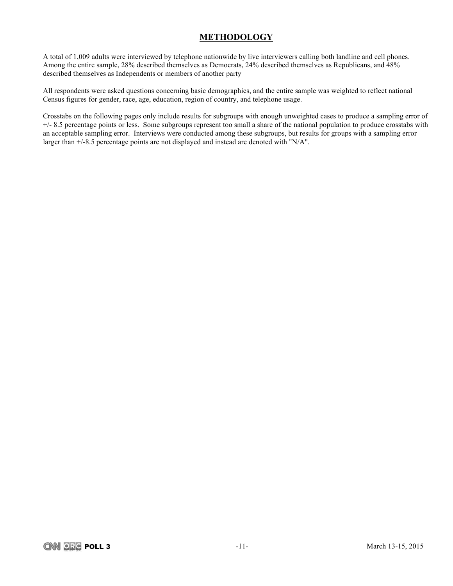## **METHODOLOGY**

A total of 1,009 adults were interviewed by telephone nationwide by live interviewers calling both landline and cell phones. Among the entire sample, 28% described themselves as Democrats, 24% described themselves as Republicans, and 48% described themselves as Independents or members of another party

All respondents were asked questions concerning basic demographics, and the entire sample was weighted to reflect national Census figures for gender, race, age, education, region of country, and telephone usage.

Crosstabs on the following pages only include results for subgroups with enough unweighted cases to produce a sampling error of +/- 8.5 percentage points or less. Some subgroups represent too small a share of the national population to produce crosstabs with an acceptable sampling error. Interviews were conducted among these subgroups, but results for groups with a sampling error larger than +/-8.5 percentage points are not displayed and instead are denoted with "N/A".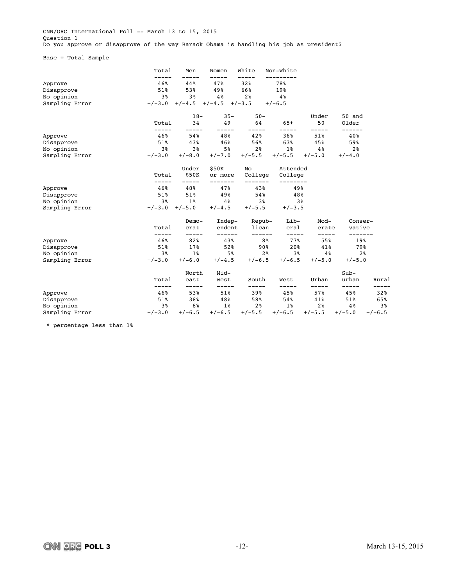CNN/ORC International Poll -- March 13 to 15, 2015 Question 1 Do you approve or disapprove of the way Barack Obama is handling his job as president?

Base = Total Sample

|                | Total          | Men           | Women          | White          | Non-White      |                |                   |                |
|----------------|----------------|---------------|----------------|----------------|----------------|----------------|-------------------|----------------|
| Approve        | 46%            | 44%           | 47%            | 32%            | 78%            |                |                   |                |
| Disapprove     | 51%            | 53%           | 49%            | 66%            | 19%            |                |                   |                |
| No opinion     | 3 <sup>8</sup> | 3%            | 4%             | 2 <sup>8</sup> | 4 <sup>°</sup> |                |                   |                |
| Sampling Error | $+/-3.0$       | $+/-4.5$      | $+/-4.5$       | $+/-3.5$       | $+/-6.5$       |                |                   |                |
|                |                | $18-$         | $35 -$         | $50 -$         |                | Under          | 50 and            |                |
|                | Total          | 34            | 49             | 64             | $65+$          | 50             | Older<br>------   |                |
| Approve        | 46%            | 54%           | 48%            | 42%            | 36%            | 51%            | 40%               |                |
| Disapprove     | 51%            | 43%           | 46%            | 56%            | 63%            | 45%            | 59%               |                |
| No opinion     | 3 <sup>8</sup> | 3%            | 5 <sup>8</sup> | 2 <sup>8</sup> | $1\%$          | 4%             | 2 <sup>8</sup>    |                |
| Sampling Error | $+/-3.0$       | $+/-8.0$      | $+/-7.0$       | $+/-5.5$       | $+/-5.5$       | $+/-5.0$       | $+/-4.0$          |                |
|                |                | Under         | \$50K          | No             | Attended       |                |                   |                |
|                | Total          | \$50K         | or more        | College        | College        |                |                   |                |
| Approve        | 46%            | 48%           | 47%            | 43%            | 49%            |                |                   |                |
| Disapprove     | 51%            | 51%           | 49%            | 54%            | 48%            |                |                   |                |
| No opinion     | 3%             | $1\%$         | 4%             | 38             | 3%             |                |                   |                |
| Sampling Error | $+/-3.0$       | $+/-5.0$      | $+/-4.5$       | $+/-5.5$       | $+/-3.5$       |                |                   |                |
|                |                | Demo-         | Indep-         | Repub-         | Lib-           | Mod-           | Conser-           |                |
|                | Total          | crat          | endent         | lican          | eral           | erate          | vative<br>------- |                |
| Approve        | 46%            | 82%           | 43%            | 8%             | 77%            | -----<br>55%   | 19%               |                |
| Disapprove     | 51%            | 17%           | 52%            | 90%            | 20%            | 41%            | 79%               |                |
| No opinion     | 3 <sup>8</sup> | $1\%$         | 5 <sup>8</sup> | 2 <sup>8</sup> | 3 <sup>8</sup> | 4 <sup>°</sup> |                   | 2 <sup>8</sup> |
| Sampling Error | $+/-3.0$       | $+/-6.0$      | $+/-4.5$       | $+/-6.5$       | $+/-6.5$       | $+/-5.0$       | $+/-5.0$          |                |
|                |                | North         | Mid-           |                |                |                | $Sub-$            |                |
|                | Total<br>----- | east<br>----- | west<br>-----  | South          | West<br>-----  | Urban<br>----- | urban             | Rural          |
| Approve        | 46%            | 53%           | 51%            | 39%            | 45%            | 57%            | 45%               | 32%            |
| Disapprove     | 51%            | 38%           | 48%            | 58%            | 54%            | 41%            | 51%               | 65%            |
| No opinion     | 3%             | 8%            | $1\%$          | 2 <sup>8</sup> | $1\%$          | 2%             | 4 %               | 3%             |
| Sampling Error | $+/-3.0$       | $+/-6.5$      | $+/-6.5$       | $+/-5.5$       | $+/-6.5$       | $+/-5.5$       | $+/-5.0$          | $+/-6.5$       |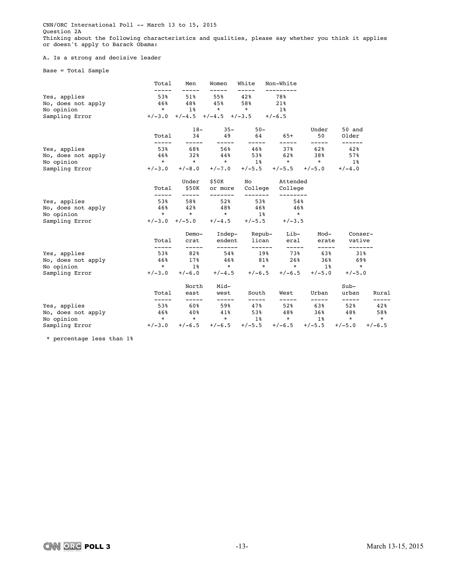CNN/ORC International Poll -- March 13 to 15, 2015 Question 2A Thinking about the following characteristics and qualities, please say whether you think it applies or doesn't apply to Barack Obama:

### A. Is a strong and decisive leader

Base = Total Sample

|                    | Total        | Men            | Women                      | White                     | Non-White           |                   |                 |          |
|--------------------|--------------|----------------|----------------------------|---------------------------|---------------------|-------------------|-----------------|----------|
| Yes, applies       | 53%          | 51%            | 55%                        | 42%                       | 78%                 |                   |                 |          |
| No, does not apply | 46%          | 48%            | 45%                        | 58%                       | 21%                 |                   |                 |          |
| No opinion         | $\star$      | $1\%$          | $\star$                    | $\star$                   | $1\,$ $\,$          |                   |                 |          |
| Sampling Error     | $+/-3.0$     |                | $+/-4.5$ $+/-4.5$ $+/-3.5$ |                           | $+/-6.5$            |                   |                 |          |
|                    |              | $18-$          | $35 -$                     | $50 -$                    |                     | Under             | 50 and          |          |
|                    | Total        | 34<br>-----    | 49                         | 64                        | $65+$               | 50<br>-----       | Older<br>------ |          |
| Yes, applies       | 53%          | 68%            | 56%                        | 46%                       | 37%                 | 62%               | 42%             |          |
| No, does not apply | 46%          | 32%            | 44%                        | 53%                       | 62%                 | 38%               | 57%             |          |
| No opinion         | $\star$      | $\star$        | $\star$                    | $1\,$ %                   | $\star$             | $\star$           | 1%              |          |
| Sampling Error     | $+/-3.0$     | $+/-8.0$       | $+/-7.0$                   | $+/-5.5$                  |                     | $+/-5.5$ $+/-5.0$ | $+/-4.0$        |          |
|                    |              | Under          | \$50K                      | No                        | Attended            |                   |                 |          |
|                    | Total        | \$50K<br>----- | or more<br>-------         | College<br>-------        | College<br>-------- |                   |                 |          |
| Yes, applies       | 53%          | 58%            | 52%                        | 53%                       | 54%                 |                   |                 |          |
| No, does not apply | 46%          | 42%            | 48%                        | 46%                       | 46%                 |                   |                 |          |
| No opinion         | $\star$      | $\star$        | $\star$                    | $1\,$ $8$                 | $\star$             |                   |                 |          |
| Sampling Error     | $+/-3.0$     | $+/-5.0$       | $+/-4.5$                   | $+/-5.5$                  | $+/-3.5$            |                   |                 |          |
|                    |              | Demo-          |                            | Indep- Repub-             | Lib-                | Mod-              | Conser-         |          |
|                    | Total        | crat           | endent                     | lican                     | eral                | erate             | vative          |          |
| Yes, applies       | -----<br>53% | -----<br>82%   | ------<br>54%              | ------<br>19 <sup>8</sup> | $- - - - -$<br>73%  | -----<br>63%      | -------<br>31%  |          |
| No, does not apply | 46%          | 17%            | 46%                        | 81%                       | 26%                 | 36%               | 69%             |          |
| No opinion         | $\star$      | $1\,$ $\,$     | $\star$                    | $\star$                   | $\star$             | 1%                | $\star$         |          |
| Sampling Error     | $+/-3.0$     | $+/-6.0$       | $+/-4.5$                   | $+/-6.5$                  | $+/-6.5$            | $+/-5.0$          | $+/-5.0$        |          |
|                    |              | North          | Mid-                       |                           |                     |                   | $Sub-$          |          |
|                    | Total        | east           | west                       | South                     | West                | Urban             | urban           | Rural    |
| Yes, applies       | -----<br>53% | -----<br>60%   | -----<br>59%               | -----<br>47%              | -----<br>52%        | -----<br>63%      | -----<br>52%    | 42%      |
| No, does not apply | 46%          | 40%            | 41%                        | 53%                       | 48%                 | $36\%$            | 48%             | 58%      |
| No opinion         | $\star$      | $\star$        | $\star$                    | $1\,$ $\,$                | $\star$             | 1%                | $\star$         | $\star$  |
| Sampling Error     | $+/-3.0$     | $+/-6.5$       | $+/-6.5$                   | $+/-5.5$                  | $+/-6.5$            | $+/-5.5$          | $+/-5.0$        | $+/-6.5$ |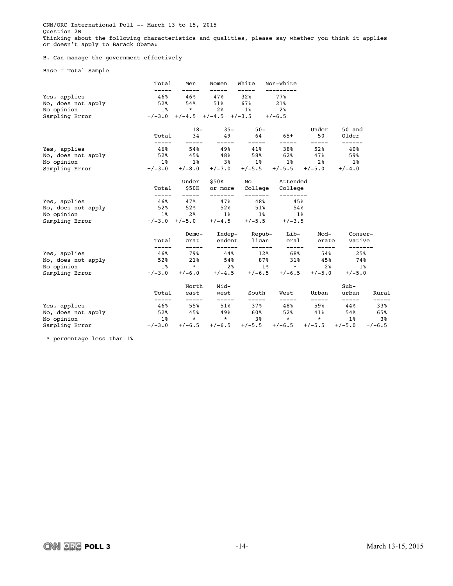CNN/ORC International Poll -- March 13 to 15, 2015 Question 2B Thinking about the following characteristics and qualities, please say whether you think it applies or doesn't apply to Barack Obama:

### B. Can manage the government effectively

Base = Total Sample

|                    | Total          | Men            | Women                      | White         | Non-White          |              |                 |          |
|--------------------|----------------|----------------|----------------------------|---------------|--------------------|--------------|-----------------|----------|
| Yes, applies       | 46%            | 46%            | 47%                        | 32%           | 77%                |              |                 |          |
| No, does not apply | 52%            | 54%            | $51\%$                     | 67%           | 21%                |              |                 |          |
| No opinion         | $1\%$          | $\star$        | 2%                         | $1\%$         | 2 <sup>8</sup>     |              |                 |          |
| Sampling Error     | $+/-3.0$       |                | $+/-4.5$ $+/-4.5$ $+/-3.5$ |               | $+/-6.5$           |              |                 |          |
|                    |                | $18-$          | $35 -$                     | $50 -$        |                    | Under        | 50 and          |          |
|                    | Total<br>----- | 34<br>-----    | 49                         | 64            | 65+<br>-----       | 50<br>-----  | Older<br>------ |          |
| Yes, applies       | 46%            | 54%            | 49%                        | 41%           | 38%                | 52%          | 40%             |          |
| No, does not apply | 52%            | 45%            | 48%                        | 58%           | 62%                | 47%          | 59%             |          |
| No opinion         | <b>1%</b>      | $1\,$          | 3%                         | 1%            | 1%                 | 2%           | $1\%$           |          |
| Sampling Error     | $+/-3.0$       | $+/-8.0$       | $+/-7.0$                   | $+/-5.5$      | $+/-5.5$           | $+/-5.0$     | $+/-4.0$        |          |
|                    |                | Under          | \$50K                      | No            | Attended           |              |                 |          |
|                    | Total          | \$50K          | or more                    | College       | College            |              |                 |          |
| Yes, applies       | 46%            | 47%            | 47%                        | 48%           | 45%                |              |                 |          |
| No, does not apply | 52%            | 52%            | 52%                        | 51%           | 54%                |              |                 |          |
| No opinion         | $1\%$          | 2 <sup>8</sup> | 1 <sup>8</sup>             | $1\,$ %       | $1\%$              |              |                 |          |
| Sampling Error     | $+/-3.0$       | $+/-5.0$       | $+/-4.5$                   | $+/-5.5$      | $+/-3.5$           |              |                 |          |
|                    |                | Demo-          |                            | Indep- Repub- | Lib-               | Mod-         | Conser-         |          |
|                    | Total          | crat           | endent                     | lican         | eral               | erate        | vative          |          |
| Yes, applies       | 46%            | -----<br>79%   | ------<br>44%              | ------<br>12% | $- - - - -$<br>68% | -----<br>54% | -------<br>25%  |          |
| No, does not apply | 52%            | 21%            | 54%                        | 87%           | 31%                | 45%          | 74%             |          |
| No opinion         | <b>1%</b>      | $\star$        | 2%                         | <b>1%</b>     | $\star$            | 2%           | 1%              |          |
| Sampling Error     | $+/-3.0$       | $+/-6.0$       | $+/-4.5$                   | $+/-6.5$      | $+/-6.5$           | $+/-5.0$     | $+/-5.0$        |          |
|                    |                | North          | Mid-                       |               |                    |              | $Sub-$          |          |
|                    | Total          | east           | west                       | South         | West               | Urban        | urban           | Rural    |
| Yes, applies       | 46%            | -----<br>55%   | -----<br>$51\%$            | -----<br>37%  | -----<br>48%       | -----<br>59% | -----<br>44%    | 33%      |
| No, does not apply | 52%            | 45%            | 49%                        | 60%           | 52%                | 41%          | 54%             | 65%      |
| No opinion         | $1\,$ $\,$     | $\star$        | $\star$                    | 3%            | $\star$            | $\star$      | 1%              | 38       |
| Sampling Error     | $+/-3.0$       | $+/-6.5$       | $+/-6.5$                   | $+/-5.5$      | $+/-6.5$           | $+/-5.5$     | $+/-5.0$        | $+/-6.5$ |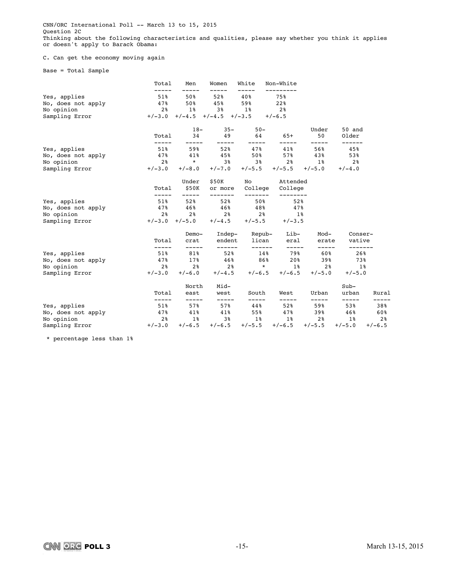CNN/ORC International Poll -- March 13 to 15, 2015 Question 2C Thinking about the following characteristics and qualities, please say whether you think it applies or doesn't apply to Barack Obama:

### C. Can get the economy moving again

Base = Total Sample

|                    | Total           | Men                  | Women                               | White              | Non-White            |                   |                 |                |
|--------------------|-----------------|----------------------|-------------------------------------|--------------------|----------------------|-------------------|-----------------|----------------|
| Yes, applies       | 51%             | 50%                  | 52%                                 | 40%                | 75%                  |                   |                 |                |
| No, does not apply | 47%             | 50%                  | 45%                                 | 59%                | 22%                  |                   |                 |                |
| No opinion         | 2 <sup>8</sup>  | $1\%$                | 3%                                  | $1\%$              | 2%                   |                   |                 |                |
| Sampling Error     |                 |                      | $+/-3.0$ $+/-4.5$ $+/-4.5$ $+/-3.5$ |                    | $+/-6.5$             |                   |                 |                |
|                    |                 | $18-$                | $35 -$                              | $50 -$             |                      | Under             | 50 and          |                |
|                    | Total           | 34<br>-----          | 49<br>-----                         | 64                 | $65+$                | 50<br>-----       | Older<br>------ |                |
| Yes, applies       | $51\%$          | 59%                  | 52%                                 | 47%                | 41%                  | 56%               | 45%             |                |
| No, does not apply | 47%             | 41%                  | 45%                                 | 50%                | 57%                  | 43%               | 53%             |                |
| No opinion         | 2%              | $\star$              | 3%                                  | 38                 | 2 <sup>8</sup>       | 18                | $2\,$ ଞ         |                |
| Sampling Error     | $+/-3.0$        | $+/-8.0$             | $+/-7.0$                            | $+/-5.5$           |                      | $+/-5.5$ $+/-5.0$ | $+/-4.0$        |                |
|                    |                 | Under                | \$50K                               |                    | No Attended          |                   |                 |                |
|                    | Total           | \$50K<br>$- - - - -$ | or more<br>--------                 | College<br>------- | College<br>--------- |                   |                 |                |
| Yes, applies       | $51\%$          | 52%                  | 52%                                 | 50%                | 52%                  |                   |                 |                |
| No, does not apply | 47%             | 46%                  | 46%                                 | 48%                | 47%                  |                   |                 |                |
| No opinion         | 2%              | 2 %                  | 2 <sup>8</sup>                      | 2 <sup>8</sup>     | $1\,$ $8$            |                   |                 |                |
| Sampling Error     |                 | $+/-3.0$ $+/-5.0$    | $+/-4.5$                            | $+/-5.5$           | $+/-3.5$             |                   |                 |                |
|                    |                 | Demo-                |                                     | Indep- Repub-      | Lib-                 | Mod-              | Conser-         |                |
|                    | Total           | crat                 | endent                              | lican              | eral                 | erate             | vative          |                |
| Yes, applies       | $51\%$          | -----<br>81%         | ------<br>52%                       | ------<br>14%      | $- - - - -$<br>79%   | -----<br>60%      | -------<br>26%  |                |
| No, does not apply | 47%             | 17%                  | 46%                                 | 86%                | 20%                  | 39%               | 73%             |                |
| No opinion         | 28              | 2 %                  | 2%                                  | $\star$            | $1\,$ $\,$           | 2 <sup>8</sup>    | $1\%$           |                |
| Sampling Error     | $+/-3.0$        | $+/-6.0$             | $+/-4.5$                            | $+/-6.5$           | $+/-6.5$             | $+/-5.0$          | $+/-5.0$        |                |
|                    |                 | North                | Mid-                                |                    |                      |                   | $Sub-$          |                |
|                    | Total           | east                 | west                                | South              | West                 | Urban             | urban           | Rural          |
| Yes, applies       | -----<br>$51\%$ | -----<br>57%         | -----<br>57%                        | -----<br>44%       | -----<br>52%         | -----<br>59%      | -----<br>53%    | 38%            |
| No, does not apply | 47%             | 41%                  | 41%                                 | 55%                | 47%                  | 39%               | 46%             | 60%            |
| No opinion         | 2%              | $1\,$ $8$            | 3%                                  | $1\,$ $\,$         | $1\,$ %              | 2%                | 1%              | 2 <sup>8</sup> |
| Sampling Error     | $+/-3.0$        | $+/-6.5$             | $+/-6.5$                            | $+/-5.5$           | $+/-6.5$             | $+/-5.5$          | $+/-5.0$        | $+/-6.5$       |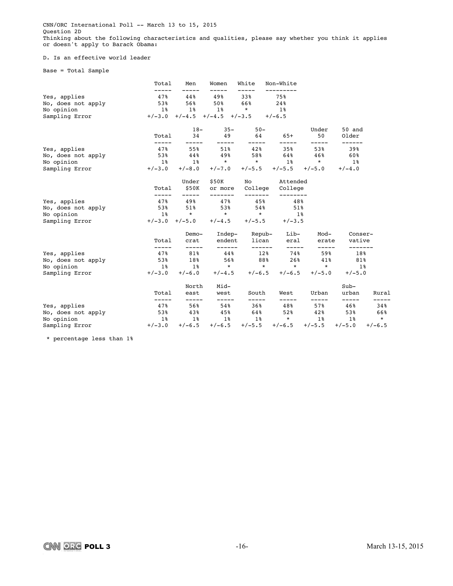CNN/ORC International Poll -- March 13 to 15, 2015 Question 2D Thinking about the following characteristics and qualities, please say whether you think it applies or doesn't apply to Barack Obama:

### D. Is an effective world leader

Base = Total Sample

|                                                                    | Total                                        | Men                                            | Women                                                                        | White                                         | Non-White                                                                |                                            |                                                 |                                   |
|--------------------------------------------------------------------|----------------------------------------------|------------------------------------------------|------------------------------------------------------------------------------|-----------------------------------------------|--------------------------------------------------------------------------|--------------------------------------------|-------------------------------------------------|-----------------------------------|
| Yes, applies<br>No, does not apply<br>No opinion<br>Sampling Error | -----<br>47%<br>53%<br>$1\,$ $8$             | -----<br>44%<br>56%<br>$1\,$ $\,$              | -----<br>49%<br>50%<br>1 <sup>8</sup><br>$+/-3.0$ $+/-4.5$ $+/-4.5$ $+/-3.5$ | -----<br>33%<br>66%<br>$\star$                | 75%<br>24%<br>1 <sup>8</sup><br>$+/-6.5$                                 |                                            |                                                 |                                   |
|                                                                    | Total                                        | $18-$<br>34                                    | $35 -$<br>49                                                                 | $50 -$<br>64                                  | 65+                                                                      | Under<br>50                                | 50 and<br>Older                                 |                                   |
| Yes, applies<br>No, does not apply<br>No opinion<br>Sampling Error | -----<br>47%<br>53%<br>$1\,$ $8$<br>$+/-3.0$ | -----<br>55%<br>44%<br>$1\,$ $8$<br>$+/-8.0$   | $51\%$<br>49%<br>$\star$                                                     | -----<br>42%<br>58%<br>$\star$                | -----<br>35%<br>64%<br>$1\,$ $\,$<br>$+/-7.0$ $+/-5.5$ $+/-5.5$ $+/-5.0$ | -----<br>53%<br>46%<br>$\star$             | ------<br>39%<br>60%<br>$1\,$ %<br>$+/-4.0$     |                                   |
|                                                                    | Total                                        | Under<br>\$50K                                 | \$50K<br>or more                                                             |                                               | No Attended<br>College College                                           |                                            |                                                 |                                   |
| Yes, applies<br>No, does not apply<br>No opinion<br>Sampling Error | -----<br>538<br>18                           | -----<br>47% 49%<br>51%<br>$\star$             | -------<br>47%<br>53%<br>$\star$<br>$+/-3.0$ $+/-5.0$ $+/-4.5$ $+/-5.5$      | -------<br>45%<br>54%<br>$\star$              | 48%<br>51%<br>$1\,$ %<br>$+/-3.5$                                        |                                            |                                                 |                                   |
|                                                                    | Total                                        | Demo-<br>crat                                  |                                                                              |                                               | Indep- Repub- Lib-<br>endent lican eral                                  | Mod-<br>erate                              | Conser-<br>vative                               |                                   |
| Yes, applies<br>No, does not apply<br>No opinion<br>Sampling Error | 47%<br>53%<br>$1\%$<br>$+/-3.0$              | -----<br>81%<br>18%<br>$+/-6.0$                | -------<br>$44\,$ $^{\circ}$<br>56%<br>$1\%$ *                               | -------<br>$\star$<br>$+/-4.5$ $+/-6.5$       | $- - - - -$<br>$12\%$ 74%<br>88% 26%<br>$\star$<br>$+/-6.5$              | -----<br>59%<br>41%<br>$\star$<br>$+/-5.0$ | -------<br>18%<br>81%<br>$1\,$ $\,$<br>$+/-5.0$ |                                   |
|                                                                    | Total                                        | North<br>east                                  | Mid-<br>west                                                                 | South                                         | West                                                                     | Urban                                      | $Sub-$<br>urban                                 | Rural                             |
| Yes, applies<br>No, does not apply<br>No opinion<br>Sampling Error | -----<br>47%<br>53%<br>$1\,$ $8$<br>$+/-3.0$ | -----<br>56%ร<br>43%<br>$1\,$ $\,$<br>$+/-6.5$ | -----<br>54%<br>45%<br>$1\,$ %<br>$+/-6.5$                                   | -----<br>36%<br>64%<br>$1\,$ $\,$<br>$+/-5.5$ | -----<br>48%<br>52%<br>$\star$<br>$+/-6.5$                               | -----<br>57%<br>42%<br>$1\,$ %<br>$+/-5.5$ | -----<br>46%<br>53%<br>$1\,$ $\,$<br>$+/-5.0$   | 34%<br>66%<br>$\star$<br>$+/-6.5$ |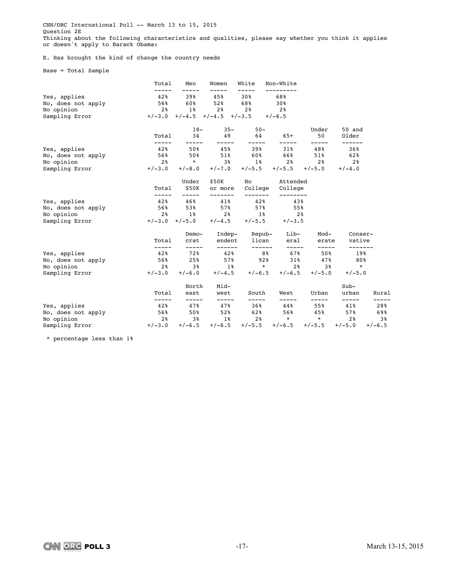CNN/ORC International Poll -- March 13 to 15, 2015 Question 2E Thinking about the following characteristics and qualities, please say whether you think it applies or doesn't apply to Barack Obama:

E. Has brought the kind of change the country needs

Base = Total Sample

|                    | Total          | Men                                                                                                            | Women                               | White                  | Non-White                           |                   |                      |                                                                                                                                                                                                                               |
|--------------------|----------------|----------------------------------------------------------------------------------------------------------------|-------------------------------------|------------------------|-------------------------------------|-------------------|----------------------|-------------------------------------------------------------------------------------------------------------------------------------------------------------------------------------------------------------------------------|
| Yes, applies       | 42%            | 39%                                                                                                            | 45%                                 | 30%                    | 68%                                 |                   |                      |                                                                                                                                                                                                                               |
| No, does not apply | 56%            | 60%                                                                                                            | 52%                                 | 68%                    | 30%                                 |                   |                      |                                                                                                                                                                                                                               |
| No opinion         | 28             | $1\%$                                                                                                          | $2\frac{6}{6}$ 2 <sup>8</sup>       |                        | 2%                                  |                   |                      |                                                                                                                                                                                                                               |
| Sampling Error     |                |                                                                                                                | $+/-3.0$ $+/-4.5$ $+/-4.5$ $+/-3.5$ |                        | $+/-6.5$                            |                   |                      |                                                                                                                                                                                                                               |
|                    |                | $18-$                                                                                                          | $35 -$                              | $50 -$                 |                                     | Under             | 50 and               |                                                                                                                                                                                                                               |
|                    | Total          | 34<br>-----                                                                                                    |                                     | $- - - - -$            | 49 64 65+<br>$- - - - -$            | 50<br>-----       | Older<br>------      |                                                                                                                                                                                                                               |
| Yes, applies       | 42%            | 50%                                                                                                            | 45%                                 | 39%                    | 31%                                 | 48%               | 36%                  |                                                                                                                                                                                                                               |
| No, does not apply | 568            | 50%                                                                                                            | 51%                                 |                        | $60\%$ $66\%$                       | $51\%$            | 62 %                 |                                                                                                                                                                                                                               |
| No opinion         | 2 <sup>8</sup> |                                                                                                                |                                     |                        | $*$ 3% 1% 2% 2%                     |                   | 2%                   |                                                                                                                                                                                                                               |
| Sampling Error     | $+/-3.0$       | $+/-8.0$                                                                                                       |                                     | $+/-7.0$ $+/-5.5$      |                                     | $+/-5.5$ $+/-5.0$ | $+/-4.0$             |                                                                                                                                                                                                                               |
|                    |                | Under                                                                                                          | \$50K                               |                        | No Attended                         |                   |                      |                                                                                                                                                                                                                               |
|                    | Total<br>----- | \$50K<br>-----                                                                                                 | or more<br>-------                  | College<br>--------    | College                             |                   |                      |                                                                                                                                                                                                                               |
| Yes, applies       | 42%            | 46%                                                                                                            | 41%                                 | 42%                    | --------<br>43%                     |                   |                      |                                                                                                                                                                                                                               |
| No, does not apply | 56%            |                                                                                                                | 53% 57%                             | 578                    | 55%                                 |                   |                      |                                                                                                                                                                                                                               |
| No opinion         | 28             | $1\,$ $\,$                                                                                                     | 2 <sup>8</sup>                      |                        | $1\%$ 2%                            |                   |                      |                                                                                                                                                                                                                               |
| Sampling Error     |                | $+/-3.0$ $+/-5.0$                                                                                              | $+/-4.5$                            | $+/-5.5$               | $+/-3.5$                            |                   |                      |                                                                                                                                                                                                                               |
|                    |                | Demo-                                                                                                          |                                     | Indep- Repub-          | Lib-                                | Mod-              | Conser-              |                                                                                                                                                                                                                               |
|                    | Total<br>----- | crat<br>-----                                                                                                  | ------                              | endent lican<br>------ | eral<br>$- - - - -$                 | erate<br>-----    | vative<br>-------    |                                                                                                                                                                                                                               |
| Yes, applies       | 42%            | 72%                                                                                                            | 42%                                 | 8%                     | 67%                                 | 50%               | 19%                  |                                                                                                                                                                                                                               |
| No, does not apply | 56%            | 25%                                                                                                            | 57%                                 | 92%                    | 31%                                 | 47%               | 80%                  |                                                                                                                                                                                                                               |
| No opinion         | 2 <sup>8</sup> |                                                                                                                | 3% 1%                               |                        | $\star$ 2% 3%                       |                   | $\star$              |                                                                                                                                                                                                                               |
| Sampling Error     | $+/-3.0$       |                                                                                                                |                                     |                        | $+/-6.0$ $+/-4.5$ $+/-6.5$ $+/-6.5$ | $+/-5.0$          | $+/-5.0$             |                                                                                                                                                                                                                               |
|                    |                | North                                                                                                          | Mid-                                |                        |                                     |                   | $Sub-$               |                                                                                                                                                                                                                               |
|                    | Total<br>----- | east<br>-----                                                                                                  | west<br>-----                       | South<br>-----         | West<br>-----                       | Urban<br>-----    | urban<br>$--- - - -$ | Rural<br>-----                                                                                                                                                                                                                |
| Yes, applies       | 42%            | 47%                                                                                                            | 47%                                 | 36%                    | 44%                                 | 55%               | 41%                  | 28%                                                                                                                                                                                                                           |
| No, does not apply | 56%            | 50% and the set of the set of the set of the set of the set of the set of the set of the set of the set of the | 52%                                 | 62%                    | 56%                                 | 45%               | 57%                  | 69%                                                                                                                                                                                                                           |
| No opinion         | 2 %            | 38                                                                                                             | $1\,$ $\,$                          | 2 <sup>8</sup>         | $\rightarrow$                       | $\star$           | $2\,$ %              | $3\,$ $3\,$ $3\,$ $3\,$ $3\,$ $3\,$ $3\,$ $3\,$ $3\,$ $3\,$ $3\,$ $3\,$ $3\,$ $3\,$ $3\,$ $3\,$ $3\,$ $3\,$ $3\,$ $3\,$ $3\,$ $3\,$ $3\,$ $3\,$ $3\,$ $3\,$ $3\,$ $3\,$ $3\,$ $3\,$ $3\,$ $3\,$ $3\,$ $3\,$ $3\,$ $3\,$ $3\,$ |
| Sampling Error     |                | $+/-3.0$ $+/-6.5$                                                                                              | $+/-6.5$                            |                        | $+/-5.5$ $+/-6.5$ $+/-5.5$ $+/-5.0$ |                   |                      | $+/-6.5$                                                                                                                                                                                                                      |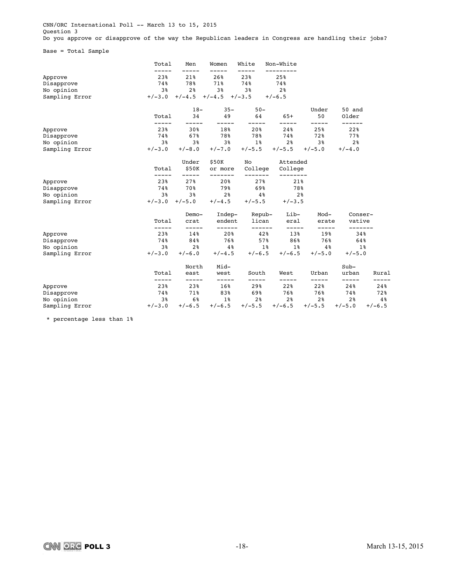CNN/ORC International Poll -- March 13 to 15, 2015 Question 3 Do you approve or disapprove of the way the Republican leaders in Congress are handling their jobs?

Base = Total Sample

|                | Total    | Men            | Women         | White           | Non-White      |                |                   |          |
|----------------|----------|----------------|---------------|-----------------|----------------|----------------|-------------------|----------|
| Approve        | 23%      | 21%            | 26%           | 23%             | 25%            |                |                   |          |
| Disapprove     | 74%      | 78%            | 71%           | 74%             | 74%            |                |                   |          |
| No opinion     | 3%       | 2 <sup>8</sup> | 3%            | 3%              | 2 <sup>8</sup> |                |                   |          |
| Sampling Error | $+/-3.0$ | $+/-4.5$       | $+/-4.5$      | $+/-3.5$        | $+/-6.5$       |                |                   |          |
|                |          | $18-$          | $35 -$        | $50 -$          |                | Under          | 50 and            |          |
|                | Total    | 34             | 49            | 64              | $65+$          | 50             | Older             |          |
| Approve        | 23%      | 30%            | 18%           | 20%             | 24%            | 25%            | 22%               |          |
| Disapprove     | 74%      | 67%            | 78%           | 78%             | 74%            | 72%            | 77%               |          |
| No opinion     | 3%       | 3%             | 3%            | $1\%$           | 2 <sup>8</sup> | 3%             | 2%                |          |
| Sampling Error | $+/-3.0$ | $+/-8.0$       | $+/-7.0$      | $+/-5.5$        | $+/-5.5$       | $+/-5.0$       | $+/-4.0$          |          |
|                |          | Under          | \$50K         | No              | Attended       |                |                   |          |
|                | Total    | \$50K          | or more       | College         | College        |                |                   |          |
| Approve        | 23%      | 27%            | 20%           | 27%             | 21%            |                |                   |          |
| Disapprove     | 74%      | 70%            | 79%           | 69%             | 78%            |                |                   |          |
| No opinion     | 3%       | 3 <sup>°</sup> | 2%            | $4\,$ $\,$      | 2 <sup>8</sup> |                |                   |          |
| Sampling Error | $+/-3.0$ | $+/-5.0$       | $+/-4.5$      | $+/-5.5$        | $+/-3.5$       |                |                   |          |
|                |          | Demo-          | Indep-        | Repub-          | Lib-           | Mod-           | Conser-           |          |
|                | Total    | crat           | endent        | lican<br>------ | eral           | erate<br>----- | vative<br>------- |          |
| Approve        | 23%      | 14%            | 20%           | 42%             | 13%            | 19%            | 34%               |          |
| Disapprove     | 74%      | 84%            | 76%           | 57%             | 86%            | 76%            | 64%               |          |
| No opinion     | 3%       | 2 <sup>8</sup> | 4%            | $1\%$           | $1\,$ $\,$     | 4%             |                   | $1\%$    |
| Sampling Error | $+/-3.0$ | $+/-6.0$       | $+/-4.5$      | $+/-6.5$        | $+/-6.5$       | $+/-5.0$       | $+/-5.0$          |          |
|                |          | North          | Mid-          |                 |                |                | $Sub-$            |          |
|                | Total    | east           | west<br>----- | South<br>-----  | West           | Urban          | urban             | Rural    |
| Approve        | 23%      | 23%            | 16%           | 29%             | 22%            | 22%            | 24%               | 24%      |
| Disapprove     | 74%      | 71%            | 83%           | 69%             | 76%            | 76%            | 74%               | 72%      |
| No opinion     | 3%       | 6%             | $1\%$         | 2%              | 2%             | 2%             | 2 <sup>8</sup>    | 4 %      |
| Sampling Error | $+/-3.0$ | $+/-6.5$       | $+/-6.5$      | $+/-5.5$        | $+/-6.5$       | $+/-5.5$       | $+/-5.0$          | $+/-6.5$ |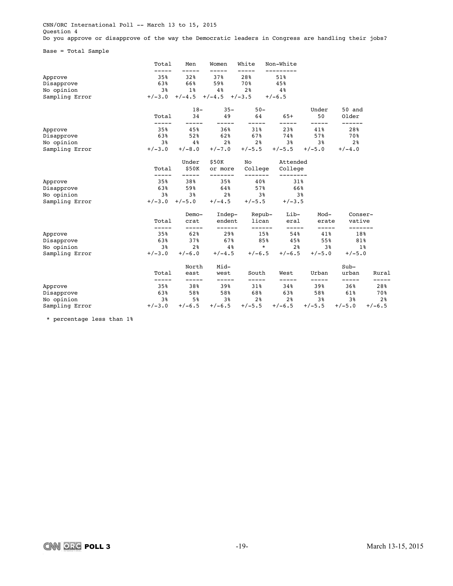CNN/ORC International Poll -- March 13 to 15, 2015 Question 4 Do you approve or disapprove of the way the Democratic leaders in Congress are handling their jobs?

Base = Total Sample

|                | Total          | Men            | Women              | White            | Non-White      |                |                   |                |
|----------------|----------------|----------------|--------------------|------------------|----------------|----------------|-------------------|----------------|
| Approve        | 35%            | 32%            | 37%                | 28%              | 51%            |                |                   |                |
| Disapprove     | 63%            | 66%            | 59%                | 70%              | 45%            |                |                   |                |
| No opinion     | 3%             | $1\%$          | 4%                 | 2 <sup>8</sup>   | 4 <sup>°</sup> |                |                   |                |
| Sampling Error | $+/-3.0$       | $+/-4.5$       | $+/-4.5$           | $+/-3.5$         | $+/-6.5$       |                |                   |                |
|                |                | $18-$          | $35 -$             | $50 -$           |                | Under          | 50 and            |                |
|                | Total          | 34             | 49                 | 64               | $65+$          | 50<br>-----    | Older<br>------   |                |
| Approve        | 35%            | 45%            | 36%                | 31%              | 23%            | 41%            | 28%               |                |
| Disapprove     | 63%            | 52%            | 62%                | 67%              | 74%            | 57%            | 70%               |                |
| No opinion     | 3%             | 4 %            | 2%                 | $2\,$            | 3%             | 3%             | 2%                |                |
| Sampling Error | $+/-3.0$       | $+/-8.0$       | $+/-7.0$           | $+/-5.5$         | $+/-5.5$       | $+/-5.0$       | $+/-4.0$          |                |
|                |                | Under          | \$50K              | No               | Attended       |                |                   |                |
|                | Total          | \$50K          | or more<br>------- | College<br>----- | College        |                |                   |                |
| Approve        | 35%            | 38%            | 35%                | 40%              | 31%            |                |                   |                |
| Disapprove     | 63%            | 59%            | 64%                | 57%              | 66%            |                |                   |                |
| No opinion     | 3%             | 3 <sup>8</sup> | 2 <sup>8</sup>     | 38               | 3%             |                |                   |                |
| Sampling Error | $+/-3.0$       | $+/-5.0$       | $+/-4.5$           | $+/-5.5$         | $+/-3.5$       |                |                   |                |
|                |                | Demo-          | Indep-             | Repub-           | Lib-           | Mod-           | Conser-           |                |
|                | Total<br>----- | crat           | endent<br>------   | lican<br>------  | eral<br>-----  | erate<br>----- | vative<br>------- |                |
| Approve        | 35%            | 62%            | 29%                | 15%              | 54%            | 41%            | 18%               |                |
| Disapprove     | 63%            | 37%            | 67%                | 85%              | 45%            | 55%            | 81%               |                |
| No opinion     | 3%             | 2 <sup>8</sup> | 4%                 | $\star$          | 2 <sup>8</sup> | 3%             | $1\%$             |                |
| Sampling Error | $+/-3.0$       | $+/-6.0$       | $+/-4.5$           | $+/-6.5$         | $+/-6.5$       | $+/-5.0$       | $+/-5.0$          |                |
|                |                | North          | Mid-               |                  |                |                | $Sub-$            |                |
|                | Total<br>----- | east<br>-----  | west<br>-----      | South<br>-----   | West<br>-----  | Urban<br>----- | urban<br>-----    | Rural          |
| Approve        | 35%            | 38%            | 39%                | 31%              | 34%            | 39%            | 36%               | -----<br>28%   |
| Disapprove     | 63%            | 58%            | 58%                | 68%              | 63%            | 58%            | 61%               | 70%            |
| No opinion     | 3%             | 5%             | 3%                 | 2 <sup>8</sup>   | 2 <sup>°</sup> | 3%             | 3%                | 2 <sup>8</sup> |
| Sampling Error | $+/-3.0$       | $+/-6.5$       | $+/-6.5$           | $+/-5.5$         | $+/-6.5$       | $+/-5.5$       | $+/-5.0$          | $+/-6.5$       |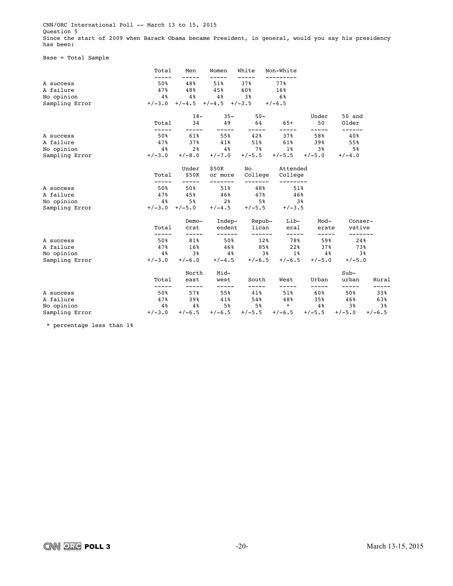CNN/ORC International Poll -- March 13 to 15, 2015 Question 5 Since the start of 2009 when Barack Obama became President, in general, would you say his presidency has been:

### Base = Total Sample

|                | Total          | Men          | Women         | White         | Non-White          |              |                 |                |
|----------------|----------------|--------------|---------------|---------------|--------------------|--------------|-----------------|----------------|
| A success      | -----<br>50%   | 48%          | 51%           | 37%           | 77%                |              |                 |                |
| A failure      | 47%            | 48%          | 45%           | 60%           | 16%                |              |                 |                |
| No opinion     | 4 <sup>°</sup> | 4%           | 4%            | 3%            | 6%                 |              |                 |                |
| Sampling Error | $+/-3.0$       | $+/-4.5$     | $+/-4.5$      | $+/-3.5$      | $+/-6.5$           |              |                 |                |
|                |                | $18-$        | $35 -$        | $50 -$        |                    | Under        | 50 and          |                |
|                | Total          | 34           | 49            | 64            | $65+$              | 50<br>-----  | Older<br>------ |                |
| A success      | 50%            | 61%          | 55%           | 42%           | 37%                | 58%          | 40%             |                |
| A failure      | 47%            | 37%          | 41%           | 51%           | 61%                | 39%          | 55%             |                |
| No opinion     | 4%             | 2%           | 4%            | 7%            | 1%                 | 3%           | 5%              |                |
| Sampling Error | $+/-3.0$       | $+/-8.0$     | $+/-7.0$      | $+/-5.5$      | $+/-5.5$           | $+/-5.0$     | $+/-4.0$        |                |
|                |                | Under        | \$50K         | No            | Attended           |              |                 |                |
|                | Total          | \$50K        | or more       | College       | College            |              |                 |                |
| A success      | 50%            | 50%          | 51%           | 48%           | 51%                |              |                 |                |
| A failure      | 47%            | 45%          | 46%           | 47%           | 46%                |              |                 |                |
| No opinion     | 4 %            | 5%           | 2%            | 58            | 3%                 |              |                 |                |
| Sampling Error | $+/-3.0$       | $+/-5.0$     | $+/-4.5$      | $+/-5.5$      | $+/-3.5$           |              |                 |                |
|                |                | Demo-        | Indep-        | Repub-        | Lib-               | Mod-         | Conser-         |                |
|                | Total          | crat         | endent        | lican         | eral               | erate        | vative          |                |
| A success      | -----<br>50%   | -----<br>81% | ------<br>50% | ------<br>12% | $- - - - -$<br>78% | -----<br>59% | -------<br>24%  |                |
| A failure      | 47%            | 16%          | 46%           | 85%           | 22%                | 37%          | 73%             |                |
| No opinion     | 4%             | 3%           | $4\,$ $\,$    | 3%            | $1\%$              | 4%           |                 | 3 <sup>8</sup> |
| Sampling Error | $+/-3.0$       | $+/-6.0$     | $+/-4.5$      | $+/-6.5$      | $+/-6.5$           | $+/-5.0$     | $+/-5.0$        |                |
|                |                | North        | Mid-          |               |                    |              | $Sub-$          |                |
|                | Total          | east         | west          | South         | West               | Urban        | urban           | Rural          |
| A success      | -----<br>50%   | -----<br>57% | -----<br>55%  | -----<br>41%  | -----<br>51%       | -----<br>60% | -----<br>50%    | 33%            |
| A failure      | 47%            | 39%          | 41%           | 54%           | 48%                | 35%          | 46%             | 63%            |
| No opinion     | $4\%$          | 4 %          | 5%            | 5%            | $\star$            | 4%           | 3%              | 38             |
| Sampling Error | $+/-3.0$       | $+/-6.5$     | $+/-6.5$      | $+/-5.5$      | $+/-6.5$           | $+/-5.5$     | $+/-5.0$        | $+/-6.5$       |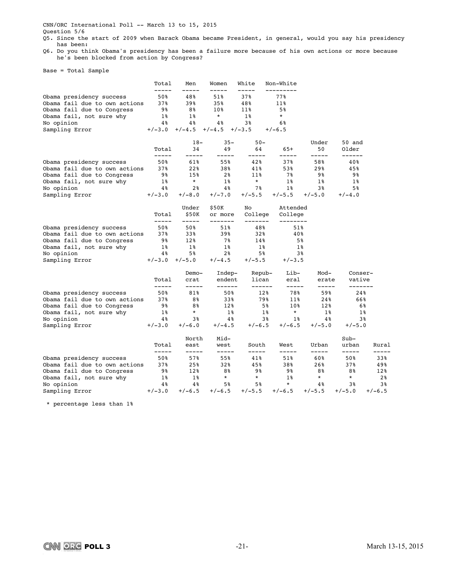CNN/ORC International Poll -- March 13 to 15, 2015

Question 5/6

Q5. Since the start of 2009 when Barack Obama became President, in general, would you say his presidency has been:

Q6. Do you think Obama's presidency has been a failure more because of his own actions or more because he's been blocked from action by Congress?

Base = Total Sample

|                               | Total          | Men            | Women              | White              | Non-White           |                |                   |          |
|-------------------------------|----------------|----------------|--------------------|--------------------|---------------------|----------------|-------------------|----------|
| Obama presidency success      | 50%            | 48%            | 51%                | 37%                | 77%                 |                |                   |          |
| Obama fail due to own actions | 37%            | 39%            | 35%                | 48%                | 11%                 |                |                   |          |
| Obama fail due to Congress    | 98             | 88             | 10%                | 11%                | 5%                  |                |                   |          |
| Obama fail, not sure why      | 1%             | 1%             | $^{\star}$         | 1%                 | $\star$             |                |                   |          |
| No opinion                    | 4%             | 4%             | 4%                 | 3%                 | 6%                  |                |                   |          |
| Sampling Error                | $+/-3.0$       | $+/-4.5$       | $+/-4.5$           | $+/-3.5$           | $+/-6.5$            |                |                   |          |
|                               |                | $18-$          | $35 -$             | $50 -$             |                     | Under          | 50 and            |          |
|                               | Total<br>----- | 34<br>-----    | 49<br>-----        | 64<br>-----        | $65+$<br>-----      | 50<br>-----    | Older<br>------   |          |
| Obama presidency success      | 50%            | 61%            | 55%                | 42%                | 37%                 | 58%            | 40%               |          |
| Obama fail due to own actions | 37%            | 22%            | 38%                | 41%                | 53%                 | 29%            | 45%               |          |
| Obama fail due to Congress    | 98             | 15%            | 2 <sup>8</sup>     | 11%                | 7%                  | 98             | 9%                |          |
| Obama fail, not sure why      | $1\%$          | $\star$        | $1\%$              | $\star$            | $1\%$               | $1\%$          | $1\%$             |          |
| No opinion                    | 4%             | 2 <sup>8</sup> | 4%                 | 78                 | $1\%$               | 3%             | 5%                |          |
| Sampling Error                | $+/-3.0$       | $+/-8.0$       | $+/-7.0$           | $+/-5.5$           | $+/-5.5$            | $+/-5.0$       | $+/-4.0$          |          |
|                               |                | Under          | \$50K              | No                 | Attended            |                |                   |          |
|                               | Total<br>----- | \$50K<br>----- | or more<br>------- | College<br>------- | College<br>-------- |                |                   |          |
| Obama presidency success      | 50%            | 50%            | 51%                | 48%                | 51%                 |                |                   |          |
| Obama fail due to own actions | 37%            | 33%            | 39%                | 32%                | 40%                 |                |                   |          |
| Obama fail due to Congress    | 98             | 12%            | 7%                 | 14%                | 5%                  |                |                   |          |
| Obama fail, not sure why      | 1%             | $1\%$          | $1\%$              | 1%                 | 1%                  |                |                   |          |
| No opinion                    | 4%             | 5%             | 2 <sup>8</sup>     | 5%                 | 3 <sup>8</sup>      |                |                   |          |
| Sampling Error                | $+/-3.0$       | $+/-5.0$       | $+/-4.5$           | $+/-5.5$           | $+/-3.5$            |                |                   |          |
|                               |                | Demo-          | Indep-             | Repub-             | Lib-                | Mod-           | Conser-           |          |
|                               | Total<br>----- | crat<br>-----  | endent<br>------   | lican<br>------    | eral<br>-----       | erate<br>----- | vative<br>------- |          |
| Obama presidency success      | 50%            | 81%            | 50%                | 12%                | 78%                 | 59%            | 24%               |          |
| Obama fail due to own actions | 37%            | 8%             | 33%                | 79%                | 11%                 | 24%            | 66%               |          |
| Obama fail due to Congress    | 98             | 8%             | 12%                | 5%                 | 10%                 | 12%            | 6%                |          |
| Obama fail, not sure why      | 1%             | $\star$        | $1\,$ $\,$         | $1\%$              | $\star$             | $1\%$          | 18                |          |
| No opinion                    | 4%             | 38             | 4%                 | 3%                 | 1%                  | 4%             | 3%                |          |
| Sampling Error                | $+/-3.0$       | $+/-6.0$       | $+/-4.5$           | $+/-6.5$           | $+/-6.5$            | $+/-5.0$       | $+/-5.0$          |          |
|                               |                | North          | Mid-               |                    |                     |                | $Sub-$            |          |
|                               | Total<br>----- | east<br>-----  | west<br>-----      | South<br>-----     | West<br>-----       | Urban<br>----- | urban<br>-----    | Rural    |
| Obama presidency success      | 50%            | 57%            | 55%                | 41%                | $51\%$              | 60%            | 50%               | 33%      |
| Obama fail due to own actions | 37%            | 25%            | 32%                | 45%                | 38%                 | 26%            | 37%               | 49%      |
| Obama fail due to Congress    | 98             | 12%            | 8%                 | 9%                 | 98                  | 8%             | 8%                | 12%      |
| Obama fail, not sure why      | 1%             | 1%             | $\star$            | $\ast$             | $1\%$               | $\star$        | $\star$           | 2%       |
| No opinion                    | 4%             | 4%             | 5%                 | 5%                 | $\star$             | 4%             | 38                | 3%       |
| Sampling Error                | $+/-3.0$       | $+/-6.5$       | $+/-6.5$           | $+/-5.5$           | $+/-6.5$            | $+/-5.5$       | $+/-5.0$          | $+/-6.5$ |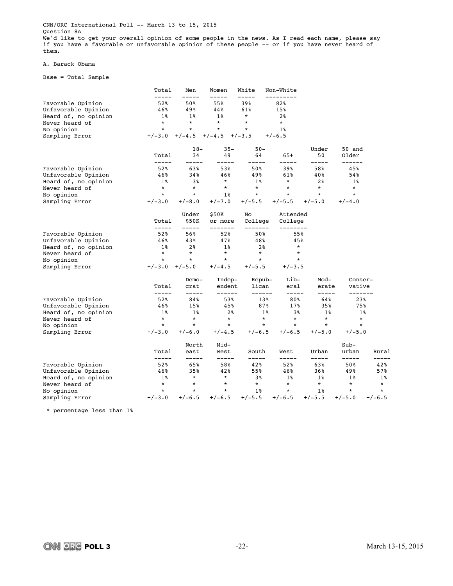CNN/ORC International Poll -- March 13 to 15, 2015 Question 8A We'd like to get your overall opinion of some people in the news. As I read each name, please say if you have a favorable or unfavorable opinion of these people -- or if you have never heard of them.

#### A. Barack Obama

Base = Total Sample

|                                                                                                  | Total                                              | Men                                       | Women                                               | White                                                 | Non-White                                                   |                      |                           |              |
|--------------------------------------------------------------------------------------------------|----------------------------------------------------|-------------------------------------------|-----------------------------------------------------|-------------------------------------------------------|-------------------------------------------------------------|----------------------|---------------------------|--------------|
| Favorable Opinion<br>Unfavorable Opinion<br>Heard of, no opinion<br>Never heard of<br>No opinion | -----<br>52%<br>46%<br>$1\%$<br>$\star$<br>$\star$ | 50%<br>49%<br>$1\%$<br>$\star$<br>$\star$ | -----<br>55%<br>44%<br>$1\%$<br>$^\star$<br>$\star$ | -----<br>39%<br>61%<br>$^\star$<br>$\star$<br>$\star$ | ----------<br>82%<br>15%<br>2 <sup>8</sup><br>$\star$<br>1% |                      |                           |              |
| Sampling Error                                                                                   | $+/-3.0$                                           | $+/-4.5$                                  | $+/-4.5$                                            | $+/-3.5$                                              | $+/-6.5$                                                    |                      |                           |              |
|                                                                                                  |                                                    |                                           |                                                     |                                                       |                                                             |                      |                           |              |
|                                                                                                  | Total<br>-----                                     | $18-$<br>34<br>-----                      | $35 -$<br>49<br>----                                | $50 -$<br>64<br>-----                                 | $65+$<br>-----                                              | Under<br>50<br>----- | 50 and<br>Older<br>------ |              |
| Favorable Opinion                                                                                | 52%                                                | 63%                                       | 53%                                                 | 50%                                                   | 39%                                                         | 58%                  | 45%                       |              |
| Unfavorable Opinion                                                                              | 46%                                                | 34%                                       | 46%                                                 | 49%                                                   | 61%                                                         | 40%                  | 54%                       |              |
| Heard of, no opinion                                                                             | $1\%$                                              | 3%                                        | $\star$                                             | $1\%$                                                 | $\star$                                                     | 2 <sub>8</sub>       | $1\%$                     |              |
| Never heard of                                                                                   | $\star$                                            | $\star$                                   | $\star$                                             | $\star$                                               | $\star$                                                     | $\star$              | $\star$                   |              |
| No opinion                                                                                       | $\star$                                            | $\star$                                   | $1\%$                                               | $\star$                                               | $\star$                                                     | $\star$              | $\star$                   |              |
| Sampling Error                                                                                   | $+/-3.0$                                           | $+/-8.0$                                  | $+/-7.0$                                            | $+/-5.5$                                              | $+/-5.5$                                                    | $+/-5.0$             | $+/-4.0$                  |              |
|                                                                                                  |                                                    | Under                                     | \$50K                                               | No                                                    | Attended                                                    |                      |                           |              |
|                                                                                                  | Total<br>-----                                     | \$50K<br>-----                            | or more                                             | College<br>-------                                    | College                                                     |                      |                           |              |
| Favorable Opinion                                                                                | 52%                                                | 56%                                       | 52%                                                 | 50%                                                   | 55%                                                         |                      |                           |              |
| Unfavorable Opinion                                                                              | 46%                                                | 43%                                       | 47%                                                 | 48%                                                   | 45%                                                         |                      |                           |              |
| Heard of, no opinion                                                                             | 1%                                                 | 2%                                        | 1%                                                  | 2 <sup>8</sup>                                        | $^\star$                                                    |                      |                           |              |
| Never heard of                                                                                   | $\star$                                            | $\star$                                   | $\star$                                             | $\star$                                               | $\star$                                                     |                      |                           |              |
| No opinion                                                                                       | $\star$                                            | $\star$                                   | $\star$                                             | $\star$                                               | $\star$                                                     |                      |                           |              |
| Sampling Error                                                                                   | $+/-3.0$                                           | $+/-5.0$                                  | $+/-4.5$                                            | $+/-5.5$                                              | $+/-3.5$                                                    |                      |                           |              |
|                                                                                                  | Total                                              | Demo-<br>crat                             | Indep-<br>endent                                    | Repub-<br>lican                                       | Lib-<br>eral                                                | Mod-<br>erate        | Conser-<br>vative         |              |
| Favorable Opinion                                                                                | -----<br>52%                                       | -----<br>84%                              | ------<br>53%                                       | ------<br>13%                                         | -----<br>80%                                                | -----<br>64%         | -------<br>23%            |              |
| Unfavorable Opinion                                                                              | 46%                                                | 15%                                       | 45%                                                 | 87%                                                   | 17%                                                         | 35%                  | 75%                       |              |
| Heard of, no opinion                                                                             | $1\%$                                              | $1\%$                                     | 2 <sup>8</sup>                                      | $1\%$                                                 | 3%                                                          | $1\%$                | 1%                        |              |
| Never heard of                                                                                   | $\star$                                            | $\star$                                   | $\star$                                             | $^\star$                                              | $\star$                                                     | $\star$              | $\star$                   |              |
| No opinion                                                                                       | $\star$                                            | $\star$                                   | $\star$                                             | $\star$                                               | $\star$                                                     | $\star$              | $\star$                   |              |
| Sampling Error                                                                                   | $+/-3.0$                                           | $+/-6.0$                                  | $+/-4.5$                                            | $+/-6.5$                                              | $+/-6.5$                                                    | $+/-5.0$             | $+/-5.0$                  |              |
|                                                                                                  |                                                    | North                                     | Mid-                                                |                                                       |                                                             |                      | $Sub-$                    |              |
|                                                                                                  | Total                                              | east                                      | west                                                | South                                                 | West                                                        | Urban                | urban                     | Rural        |
| Favorable Opinion                                                                                | -----<br>52%                                       | -----<br>65%                              | -----<br>58%                                        | -----<br>42%                                          | -----<br>52%                                                | -----<br>63%         | -----<br>50%              | -----<br>42% |
| Unfavorable Opinion                                                                              | 46%                                                | 35%                                       | 42%                                                 | 55%                                                   | 46%                                                         | 36%                  | 49%                       | 57%          |
| Heard of, no opinion                                                                             | $1\%$                                              | $\star$                                   | $\star$                                             | 38                                                    | $1\%$                                                       | 1%                   | $1\%$                     | $1\%$        |
| Never heard of                                                                                   | $\star$                                            | $\star$                                   | $\star$                                             | $\star$                                               | $\star$                                                     | $\star$              | $\star$                   | $\star$      |
| No opinion                                                                                       | $\star$                                            | $\star$                                   | $\star$                                             | 1%                                                    | $\ast$                                                      | 1%                   | $\star$                   | $\star$      |
| Sampling Error                                                                                   | $+/-3.0$                                           | $+/-6.5$                                  | $+/-6.5$                                            | $+/-5.5$                                              | $+/-6.5$                                                    | $+/-5.5$             | $+/-5.0$                  | $+/-6.5$     |